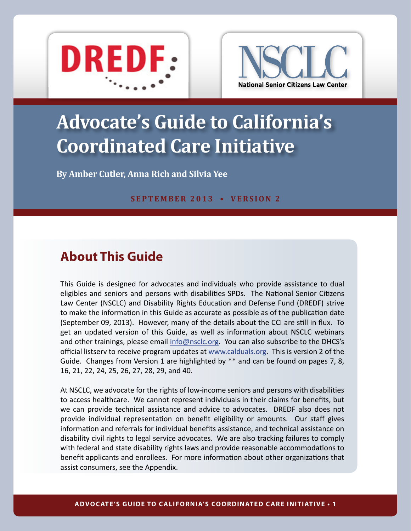<span id="page-0-0"></span>



# **Advocate's Guide to California's Coordinated Care Initiative**

**By Amber Cutler, Anna Rich and Silvia Yee**

**SEPTEMBER 2013 • vers ion 2**

## **About This Guide**

This Guide is designed for advocates and individuals who provide assistance to dual eligibles and seniors and persons with disabilities SPDs. The National Senior Citizens Law Center (NSCLC) and Disability Rights Education and Defense Fund (DREDF) strive to make the information in this Guide as accurate as possible as of the publication date (September 09, 2013). However, many of the details about the CCI are still in flux. To get an updated version of this Guide, as well as information about NSCLC webinars and other trainings, please email  $info@nsclc.org$ . You can also subscribe to the DHCS's official listserv to receive program updates at <www.calduals.org>. This is version 2 of the Guide. Changes from Version 1 are highlighted by \*\* and can be found on pages 7, 8, 16, 21, 22, 24, 25, 26, 27, 28, 29, and 40.

At NSCLC, we advocate for the rights of low-income seniors and persons with disabilities to access healthcare. We cannot represent individuals in their claims for benefits, but we can provide technical assistance and advice to advocates. DREDF also does not provide individual representation on benefit eligibility or amounts. Our staff gives information and referrals for individual benefits assistance, and technical assistance on disability civil rights to legal service advocates. We are also tracking failures to comply with federal and state disability rights laws and provide reasonable accommodations to benefit applicants and enrollees. For more information about other organizations that assist consumers, see the Appendix.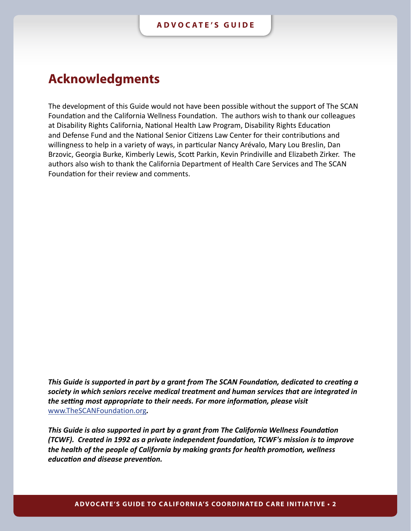## <span id="page-1-0"></span>**Acknowledgments**

The development of this Guide would not have been possible without the support of The SCAN Foundation and the California Wellness Foundation. The authors wish to thank our colleagues at Disability Rights California, National Health Law Program, Disability Rights Education and Defense Fund and the National Senior Citizens Law Center for their contributions and willingness to help in a variety of ways, in particular Nancy Arévalo, Mary Lou Breslin, Dan Brzovic, Georgia Burke, Kimberly Lewis, Scott Parkin, Kevin Prindiville and Elizabeth Zirker. The authors also wish to thank the California Department of Health Care Services and The SCAN Foundation for their review and comments.

*This Guide is supported in part by a grant from The SCAN Foundation, dedicated to creating a society in which seniors receive medical treatment and human services that are integrated in the setting most appropriate to their needs. For more information, please visit* <www.TheSCANFoundation.org>*.*

*This Guide is also supported in part by a grant from The California Wellness Foundation (TCWF). Created in 1992 as a private independent foundation, TCWF's mission is to improve the health of the people of California by making grants for health promotion, wellness education and disease prevention.*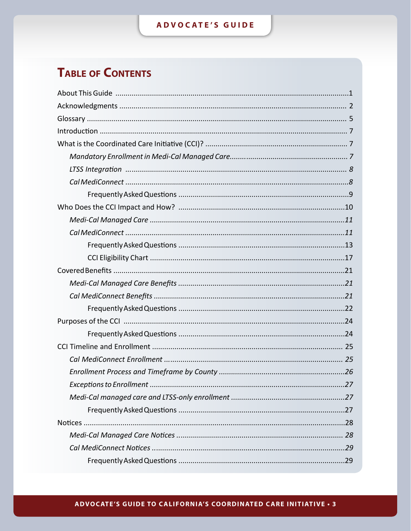## ADVOCATE'S GUIDE

## **TABLE OF CONTENTS**

#### ADVOCATE'S GUIDE TO CALIFORNIA'S COORDINATED CARE INITIATIVE . 3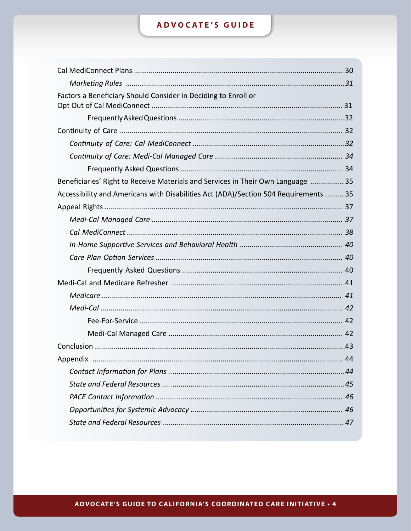## ADVOCATE'S GUIDE

| Factors a Beneficiary Should Consider in Deciding to Enroll or                       |  |
|--------------------------------------------------------------------------------------|--|
|                                                                                      |  |
|                                                                                      |  |
|                                                                                      |  |
|                                                                                      |  |
|                                                                                      |  |
| Beneficiaries' Right to Receive Materials and Services in Their Own Language  35     |  |
| Accessibility and Americans with Disabilities Act (ADA)/Section 504 Requirements  35 |  |
|                                                                                      |  |
|                                                                                      |  |
|                                                                                      |  |
|                                                                                      |  |
|                                                                                      |  |
|                                                                                      |  |
|                                                                                      |  |
|                                                                                      |  |
|                                                                                      |  |
|                                                                                      |  |
|                                                                                      |  |
|                                                                                      |  |
|                                                                                      |  |
|                                                                                      |  |
|                                                                                      |  |
|                                                                                      |  |
|                                                                                      |  |
|                                                                                      |  |
|                                                                                      |  |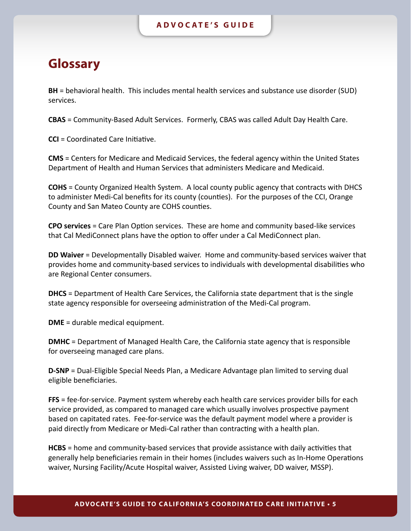## <span id="page-4-0"></span>**Glossary**

**BH** = behavioral health. This includes mental health services and substance use disorder (SUD) services.

**CBAS** = Community-Based Adult Services. Formerly, CBAS was called Adult Day Health Care.

**CCI** = Coordinated Care Initiative.

**CMS** = Centers for Medicare and Medicaid Services, the federal agency within the United States Department of Health and Human Services that administers Medicare and Medicaid.

**COHS** = County Organized Health System. A local county public agency that contracts with DHCS to administer Medi-Cal benefits for its county (counties). For the purposes of the CCI, Orange County and San Mateo County are COHS counties.

**CPO services** = Care Plan Option services. These are home and community based-like services that Cal MediConnect plans have the option to offer under a Cal MediConnect plan.

**DD Waiver** = Developmentally Disabled waiver. Home and community-based services waiver that provides home and community-based services to individuals with developmental disabilities who are Regional Center consumers.

**DHCS** = Department of Health Care Services, the California state department that is the single state agency responsible for overseeing administration of the Medi-Cal program.

**DME** = durable medical equipment.

**DMHC** = Department of Managed Health Care, the California state agency that is responsible for overseeing managed care plans.

**D-SNP** = Dual-Eligible Special Needs Plan, a Medicare Advantage plan limited to serving dual eligible beneficiaries.

**FFS** = fee-for-service. Payment system whereby each health care services provider bills for each service provided, as compared to managed care which usually involves prospective payment based on capitated rates. Fee-for-service was the default payment model where a provider is paid directly from Medicare or Medi-Cal rather than contracting with a health plan.

**HCBS** = home and community-based services that provide assistance with daily activities that generally help beneficiaries remain in their homes (includes waivers such as In-Home Operations waiver, Nursing Facility/Acute Hospital waiver, Assisted Living waiver, DD waiver, MSSP).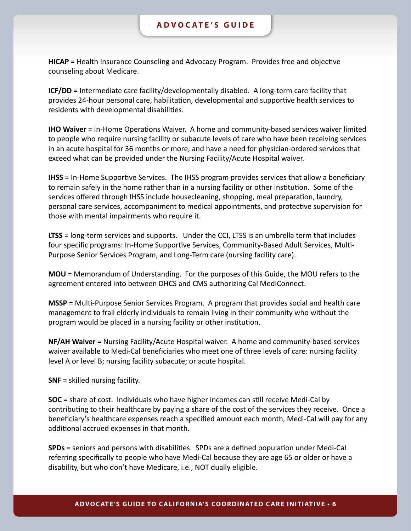**HICAP** = Health Insurance Counseling and Advocacy Program. Provides free and objective counseling about Medicare.

**ICF/DD** = Intermediate care facility/developmentally disabled. A long-term care facility that provides 24-hour personal care, habilitation, developmental and supportive health services to residents with developmental disabilities.

**IHO Waiver** = In-Home Operations Waiver. A home and community-based services waiver limited to people who require nursing facility or subacute levels of care who have been receiving services in an acute hospital for 36 months or more, and have a need for physician-ordered services that exceed what can be provided under the Nursing Facility/Acute Hospital waiver.

**IHSS** = In-Home Supportive Services. The IHSS program provides services that allow a beneficiary to remain safely in the home rather than in a nursing facility or other institution. Some of the services offered through IHSS include housecleaning, shopping, meal preparation, laundry, personal care services, accompaniment to medical appointments, and protective supervision for those with mental impairments who require it.

**LTSS** = long-term services and supports. Under the CCI, LTSS is an umbrella term that includes four specific programs: In-Home Supportive Services, Community-Based Adult Services, Multi-Purpose Senior Services Program, and Long-Term care (nursing facility care).

**MOU** = Memorandum of Understanding. For the purposes of this Guide, the MOU refers to the agreement entered into between DHCS and CMS authorizing Cal MediConnect.

**MSSP** = Multi-Purpose Senior Services Program. A program that provides social and health care management to frail elderly individuals to remain living in their community who without the program would be placed in a nursing facility or other institution.

**NF/AH Waiver** = Nursing Facility/Acute Hospital waiver. A home and community-based services waiver available to Medi-Cal beneficiaries who meet one of three levels of care: nursing facility level A or level B; nursing facility subacute; or acute hospital.

**SNF** = skilled nursing facility.

**SOC** = share of cost. Individuals who have higher incomes can still receive Medi-Cal by contributing to their healthcare by paying a share of the cost of the services they receive. Once a beneficiary's healthcare expenses reach a specified amount each month, Medi-Cal will pay for any additional accrued expenses in that month.

**SPDs** = seniors and persons with disabilities. SPDs are a defined population under Medi-Cal referring specifically to people who have Medi-Cal because they are age 65 or older or have a disability, but who don't have Medicare, i.e., NOT dually eligible.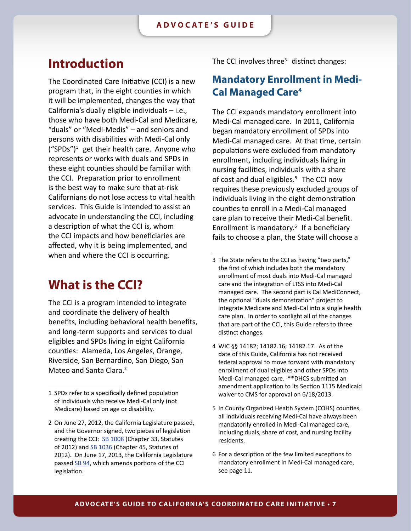## <span id="page-6-0"></span>**Introduction**

The Coordinated Care Initiative (CCI) is a new program that, in the eight counties in which it will be implemented, changes the way that California's dually eligible individuals – i.e., those who have both Medi-Cal and Medicare, "duals" or "Medi-Medis" – and seniors and persons with disabilities with Medi-Cal only ("SPDs")<sup>1</sup> get their health care. Anyone who represents or works with duals and SPDs in these eight counties should be familiar with the CCI. Preparation prior to enrollment is the best way to make sure that at-risk Californians do not lose access to vital health services. This Guide is intended to assist an advocate in understanding the CCI, including a description of what the CCI is, whom the CCI impacts and how beneficiaries are affected, why it is being implemented, and when and where the CCI is occurring.

## **What is the CCI?**

The CCI is a program intended to integrate and coordinate the delivery of health benefits, including behavioral health benefits, and long-term supports and services to dual eligibles and SPDs living in eight California counties: Alameda, Los Angeles, Orange, Riverside, San Bernardino, San Diego, San Mateo and Santa Clara.<sup>2</sup>

The CCI involves three<sup>3</sup> distinct changes:

### **Mandatory Enrollment in Medi-Cal Managed Care<sup>4</sup>**

The CCI expands mandatory enrollment into Medi-Cal managed care. In 2011, California began mandatory enrollment of SPDs into Medi-Cal managed care. At that time, certain populations were excluded from mandatory enrollment, including individuals living in nursing facilities, individuals with a share of cost and dual eligibles. $5$  The CCI now requires these previously excluded groups of individuals living in the eight demonstration counties to enroll in a Medi-Cal managed care plan to receive their Medi-Cal benefit. Enrollment is mandatory. $6$  If a beneficiary fails to choose a plan, the State will choose a

<sup>1</sup> SPDs refer to a specifically defined population of individuals who receive Medi-Cal only (not Medicare) based on age or disability.

<sup>2</sup> On June 27, 2012, the California Legislature passed, and the Governor signed, two pieces of legislation creating the CCI: [SB 1008](http://www.leginfo.ca.gov/pub/11-12/bill/sen/sb_1001-1050/sb_1008_bill_20120627_chaptered.html) (Chapter 33, Statutes of 2012) and [SB 1036](http://www.leginfo.ca.gov/pub/11-12/bill/sen/sb_1001-1050/sb_1036_bill_20120627_chaptered.html) (Chapter 45, Statutes of 2012). On June 17, 2013, the California Legislature passed [SB 94,](http://www.leginfo.ca.gov/pub/13-14/bill/sen/sb_0051-0100/sb_94_bill_20130618_enrolled.pdf) which amends portions of the CCI legislation.

<sup>3</sup> The State refers to the CCI as having "two parts," the first of which includes both the mandatory enrollment of most duals into Medi-Cal managed care and the integration of LTSS into Medi-Cal managed care. The second part is Cal MediConnect, the optional "duals demonstration" project to integrate Medicare and Medi-Cal into a single health care plan. In order to spotlight all of the changes that are part of the CCI, this Guide refers to three distinct changes.

<sup>4</sup> WIC §§ 14182; 14182.16; 14182.17. As of the date of this Guide, California has not received federal approval to move forward with mandatory enrollment of dual eligibles and other SPDs into Medi-Cal managed care. \*\*DHCS submitted an amendment application to its Section 1115 Medicaid waiver to CMS for approval on 6/18/2013.

<sup>5</sup> In County Organized Health System (COHS) counties, all individuals receiving Medi-Cal have always been mandatorily enrolled in Medi-Cal managed care, including duals, share of cost, and nursing facility residents.

<sup>6</sup> For a description of the few limited exceptions to mandatory enrollment in Medi-Cal managed care, see page 11.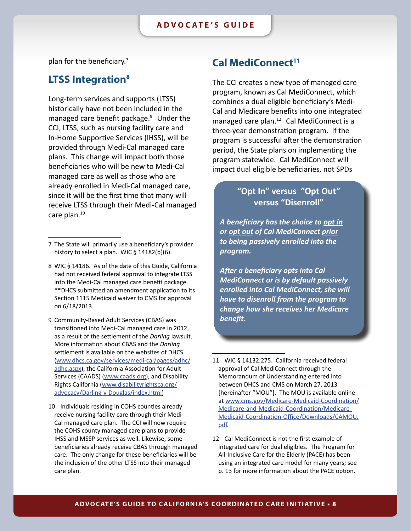<span id="page-7-0"></span>plan for the beneficiary. $7$ 

### **LTSS** Integration<sup>8</sup>

Long-term services and supports (LTSS) historically have not been included in the managed care benefit package. $9$  Under the CCI, LTSS, such as nursing facility care and In-Home Supportive Services (IHSS), will be provided through Medi-Cal managed care plans. This change will impact both those beneficiaries who will be new to Medi-Cal managed care as well as those who are already enrolled in Medi-Cal managed care, since it will be the first time that many will receive LTSS through their Medi-Cal managed care plan. $10$ 

- 8 WIC § 14186. As of the date of this Guide, California had not received federal approval to integrate LTSS into the Medi-Cal managed care benefit package. \*\*DHCS submitted an amendment application to its Section 1115 Medicaid waiver to CMS for approval on 6/18/2013.
- 9 Community-Based Adult Services (CBAS) was transitioned into Medi-Cal managed care in 2012, as a result of the settlement of the *Darling* lawsuit. More information about CBAS and the *Darling* settlement is available on the websites of DHCS [\(www.dhcs.ca.gov/services/medi-cal/pages/adhc/](www.dhcs.ca.gov/services/medi-cal/pages/adhc/adhc.aspx) [adhc.aspx](www.dhcs.ca.gov/services/medi-cal/pages/adhc/adhc.aspx)), the California Association for Adult Services (CAADS) [\(www.caads.org](www.caads.org)), and Disability Rights California [\(www.disabilityrightsca.org/](www.disabilityrightsca.org/advocacy/Darling-v-Douglas/index.html) [advocacy/Darling-v-Douglas/index.html](www.disabilityrightsca.org/advocacy/Darling-v-Douglas/index.html))
- 10 Individuals residing in COHS counties already receive nursing facility care through their Medi-Cal managed care plan. The CCI will now require the COHS county managed care plans to provide IHSS and MSSP services as well. Likewise, some beneficiaries already receive CBAS through managed care. The only change for these beneficiaries will be the inclusion of the other LTSS into their managed care plan.

### **Cal MediConnect<sup>11</sup>**

The CCI creates a new type of managed care program, known as Cal MediConnect, which combines a dual eligible beneficiary's Medi-Cal and Medicare benefits into one integrated managed care plan. $12$  Cal MediConnect is a three-year demonstration program. If the program is successful after the demonstration period, the State plans on implementing the program statewide. Cal MediConnect will impact dual eligible beneficiaries, not SPDs

### **"Opt In" versus "Opt Out" versus "Disenroll"**

*A beneficiary has the choice to opt in or opt out of Cal MediConnect prior to being passively enrolled into the program.* 

*After a beneficiary opts into Cal MediConnect or is by default passively enrolled into Cal MediConnect, she will have to disenroll from the program to change how she receives her Medicare benefit.* 

- 11 WIC § 14132.275. California received federal approval of Cal MediConnect through the Memorandum of Understanding entered into between DHCS and CMS on March 27, 2013 [hereinafter "MOU"]. The MOU is available online at [www.cms.gov/Medicare-Medicaid-Coordination/](www.cms.gov/Medicare-Medicaid-Coordination/Medicare-and-Medicaid-Coordination/Medicare-Medicaid-Coordination-Office/Downloads/CAMOU.pdf) [Medicare-and-Medicaid-Coordination/Medicare-](www.cms.gov/Medicare-Medicaid-Coordination/Medicare-and-Medicaid-Coordination/Medicare-Medicaid-Coordination-Office/Downloads/CAMOU.pdf)[Medicaid-Coordination-Office/Downloads/CAMOU.](www.cms.gov/Medicare-Medicaid-Coordination/Medicare-and-Medicaid-Coordination/Medicare-Medicaid-Coordination-Office/Downloads/CAMOU.pdf) [pdf](www.cms.gov/Medicare-Medicaid-Coordination/Medicare-and-Medicaid-Coordination/Medicare-Medicaid-Coordination-Office/Downloads/CAMOU.pdf).
- 12 Cal MediConnect is not the first example of integrated care for dual eligibles. The Program for All-Inclusive Care for the Elderly (PACE) has been using an integrated care model for many years; see p. 13 for more information about the PACE option.

<sup>7</sup> The State will primarily use a beneficiary's provider history to select a plan. WIC § 14182(b)(6).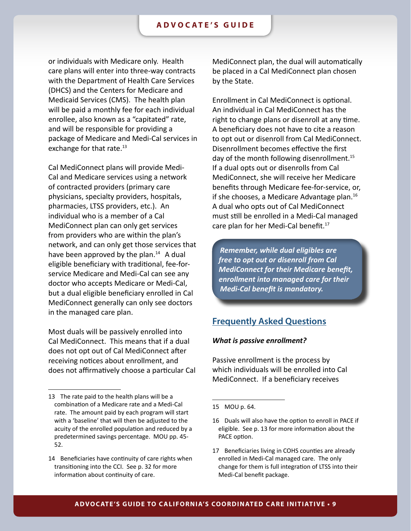<span id="page-8-0"></span>or individuals with Medicare only. Health care plans will enter into three-way contracts with the Department of Health Care Services (DHCS) and the Centers for Medicare and Medicaid Services (CMS). The health plan will be paid a monthly fee for each individual enrollee, also known as a "capitated" rate, and will be responsible for providing a package of Medicare and Medi-Cal services in exchange for that rate. $^{13}$ 

Cal MediConnect plans will provide Medi-Cal and Medicare services using a network of contracted providers (primary care physicians, specialty providers, hospitals, pharmacies, LTSS providers, etc.). An individual who is a member of a Cal MediConnect plan can only get services from providers who are within the plan's network, and can only get those services that have been approved by the plan. $14$  A dual eligible beneficiary with traditional, fee-forservice Medicare and Medi-Cal can see any doctor who accepts Medicare or Medi-Cal, but a dual eligible beneficiary enrolled in Cal MediConnect generally can only see doctors in the managed care plan.

Most duals will be passively enrolled into Cal MediConnect. This means that if a dual does not opt out of Cal MediConnect after receiving notices about enrollment, and does not affirmatively choose a particular Cal MediConnect plan, the dual will automatically be placed in a Cal MediConnect plan chosen by the State.

Enrollment in Cal MediConnect is optional. An individual in Cal MediConnect has the right to change plans or disenroll at any time. A beneficiary does not have to cite a reason to opt out or disenroll from Cal MediConnect. Disenrollment becomes effective the first day of the month following disenrollment.<sup>15</sup> If a dual opts out or disenrolls from Cal MediConnect, she will receive her Medicare benefits through Medicare fee-for-service, or, if she chooses, a Medicare Advantage plan.<sup>16</sup> A dual who opts out of Cal MediConnect must still be enrolled in a Medi-Cal managed care plan for her Medi-Cal benefit. $17$ 

*Remember, while dual eligibles are free to opt out or disenroll from Cal MediConnect for their Medicare benefit, enrollment into managed care for their Medi-Cal benefit is mandatory.*

### **Frequently Asked Questions**

#### *What is passive enrollment?*

Passive enrollment is the process by which individuals will be enrolled into Cal MediConnect. If a beneficiary receives

<sup>13</sup> The rate paid to the health plans will be a combination of a Medicare rate and a Medi-Cal rate. The amount paid by each program will start with a 'baseline' that will then be adjusted to the acuity of the enrolled population and reduced by a predetermined savings percentage. MOU pp. 45- 52.

<sup>14</sup> Beneficiaries have continuity of care rights when transitioning into the CCI. See p. 32 for more information about continuity of care.

<sup>15</sup> MOU p. 64.

<sup>16</sup> Duals will also have the option to enroll in PACE if eligible. See p. 13 for more information about the PACE option.

<sup>17</sup> Beneficiaries living in COHS counties are already enrolled in Medi-Cal managed care. The only change for them is full integration of LTSS into their Medi-Cal benefit package.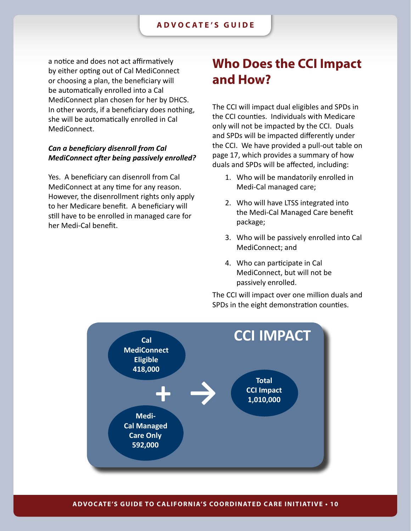<span id="page-9-0"></span>a notice and does not act affirmatively by either opting out of Cal MediConnect or choosing a plan, the beneficiary will be automatically enrolled into a Cal MediConnect plan chosen for her by DHCS. In other words, if a beneficiary does nothing, she will be automatically enrolled in Cal MediConnect.

### *Can a beneficiary disenroll from Cal MediConnect after being passively enrolled?*

Yes. A beneficiary can disenroll from Cal MediConnect at any time for any reason. However, the disenrollment rights only apply to her Medicare benefit. A beneficiary will still have to be enrolled in managed care for her Medi-Cal benefit.

## **Who Does the CCI Impact and How?**

The CCI will impact dual eligibles and SPDs in the CCI counties. Individuals with Medicare only will not be impacted by the CCI. Duals and SPDs will be impacted differently under the CCI. We have provided a pull-out table on page 17, which provides a summary of how duals and SPDs will be affected, including:

- 1. Who will be mandatorily enrolled in Medi-Cal managed care;
- 2. Who will have LTSS integrated into the Medi-Cal Managed Care benefit package;
- 3. Who will be passively enrolled into Cal MediConnect; and
- 4. Who can participate in Cal MediConnect, but will not be passively enrolled.

The CCI will impact over one million duals and SPDs in the eight demonstration counties.

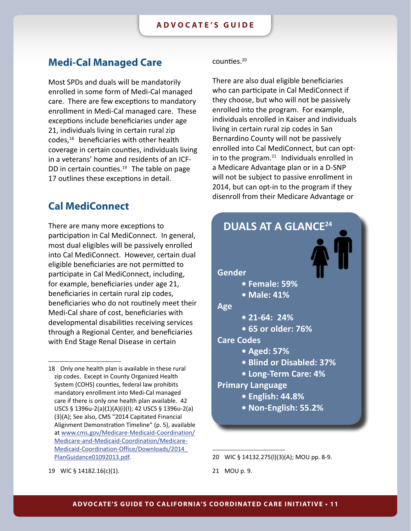### <span id="page-10-0"></span>**Medi-Cal Managed Care**

Most SPDs and duals will be mandatorily enrolled in some form of Medi-Cal managed care. There are few exceptions to mandatory enrollment in Medi-Cal managed care. These exceptions include beneficiaries under age 21, individuals living in certain rural zip codes,<sup>18</sup> beneficiaries with other health coverage in certain counties, individuals living in a veterans' home and residents of an ICF-DD in certain counties.<sup>19</sup> The table on page 17 outlines these exceptions in detail.

### **Cal MediConnect**

There are many more exceptions to participation in Cal MediConnect. In general, most dual eligibles will be passively enrolled into Cal MediConnect. However, certain dual eligible beneficiaries are not permitted to participate in Cal MediConnect, including, for example, beneficiaries under age 21, beneficiaries in certain rural zip codes, beneficiaries who do not routinely meet their Medi-Cal share of cost, beneficiaries with developmental disabilities receiving services through a Regional Center, and beneficiaries with End Stage Renal Disease in certain

counties. $20$ 

There are also dual eligible beneficiaries who can participate in Cal MediConnect if they choose, but who will not be passively enrolled into the program. For example, individuals enrolled in Kaiser and individuals living in certain rural zip codes in San Bernardino County will not be passively enrolled into Cal MediConnect, but can optin to the program. $21$  Individuals enrolled in a Medicare Advantage plan or in a D-SNP will not be subject to passive enrollment in 2014, but can opt-in to the program if they disenroll from their Medicare Advantage or



<sup>20</sup> WIC § 14132.275(l)(3)(A); MOU pp. 8-9.

<sup>18</sup> Only one health plan is available in these rural zip codes. Except in County Organized Health System (COHS) counties, federal law prohibits mandatory enrollment into Medi-Cal managed care if there is only one health plan available. 42 USCS § 1396u-2(a)(1)(A)(i)(I); 42 USCS § 1396u-2(a) (3)(A); See also, CMS "2014 Capitated Financial Alignment Demonstration Timeline" (p. 5), available at [www.cms.gov/Medicare-Medicaid-Coordination/](www.cms.gov/Medicare-Medicaid-Coordination/Medicare-and-Medicaid-Coordination/Medicare-Medicaid-Coordination-Office/Downloads/2014_PlanGuidance01092013.pdf) [Medicare-and-Medicaid-Coordination/Medicare-](www.cms.gov/Medicare-Medicaid-Coordination/Medicare-and-Medicaid-Coordination/Medicare-Medicaid-Coordination-Office/Downloads/2014_PlanGuidance01092013.pdf)[Medicaid-Coordination-Office/Downloads/2014\\_](www.cms.gov/Medicare-Medicaid-Coordination/Medicare-and-Medicaid-Coordination/Medicare-Medicaid-Coordination-Office/Downloads/2014_PlanGuidance01092013.pdf) [PlanGuidance01092013.pdf.](www.cms.gov/Medicare-Medicaid-Coordination/Medicare-and-Medicaid-Coordination/Medicare-Medicaid-Coordination-Office/Downloads/2014_PlanGuidance01092013.pdf)

<sup>21</sup> MOU p. 9.

<sup>19</sup> WIC § 14182.16(c)(1).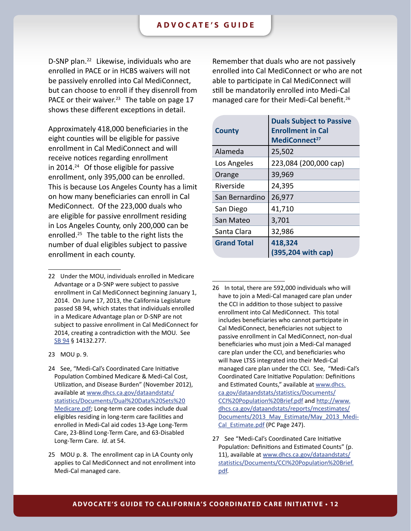D-SNP plan.<sup>22</sup> Likewise, individuals who are enrolled in PACE or in HCBS waivers will not be passively enrolled into Cal MediConnect, but can choose to enroll if they disenroll from PACE or their waiver.<sup>23</sup> The table on page 17 shows these different exceptions in detail.

Approximately 418,000 beneficiaries in the eight counties will be eligible for passive enrollment in Cal MediConnect and will receive notices regarding enrollment in 2014. $24$  Of those eligible for passive enrollment, only 395,000 can be enrolled. This is because Los Angeles County has a limit on how many beneficiaries can enroll in Cal MediConnect. Of the 223,000 duals who are eligible for passive enrollment residing in Los Angeles County, only 200,000 can be enrolled.<sup>25</sup> The table to the right lists the number of dual eligibles subject to passive enrollment in each county.

Remember that duals who are not passively enrolled into Cal MediConnect or who are not able to participate in Cal MediConnect will still be mandatorily enrolled into Medi-Cal managed care for their Medi-Cal benefit.<sup>26</sup>

| <b>County</b>      | <b>Duals Subject to Passive</b><br><b>Enrollment in Cal</b><br>MediConnect <sup>27</sup> |
|--------------------|------------------------------------------------------------------------------------------|
| Alameda            | 25,502                                                                                   |
| Los Angeles        | 223,084 (200,000 cap)                                                                    |
| Orange             | 39,969                                                                                   |
| Riverside          | 24,395                                                                                   |
| San Bernardino     | 26,977                                                                                   |
| San Diego          | 41,710                                                                                   |
| San Mateo          | 3,701                                                                                    |
| Santa Clara        | 32,986                                                                                   |
| <b>Grand Total</b> | 418,324<br>(395,204 with cap)                                                            |

<sup>26</sup> In total, there are 592,000 individuals who will have to join a Medi-Cal managed care plan under the CCI in addition to those subject to passive enrollment into Cal MediConnect. This total includes beneficiaries who cannot participate in Cal MediConnect, beneficiaries not subject to passive enrollment in Cal MediConnect, non-dual beneficiaries who must join a Medi-Cal managed care plan under the CCI, and beneficiaries who will have LTSS integrated into their Medi-Cal managed care plan under the CCI. See, "Medi-Cal's Coordinated Care Initiative Population: Definitions and Estimated Counts," available at [www.dhcs.](www.dhcs.ca.gov/dataandstats/statistics/Documents/CCI%20Population%20Brief.pdf) [ca.gov/dataandstats/statistics/Documents/](www.dhcs.ca.gov/dataandstats/statistics/Documents/CCI%20Population%20Brief.pdf) [CCI%20Population%20Brief.pdf](www.dhcs.ca.gov/dataandstats/statistics/Documents/CCI%20Population%20Brief.pdf) and [http://www.](http://www.dhcs.ca.gov/dataandstats/reports/mcestimates/Documents/2013_May_Estimate/May_2013_Medi-Cal_Estimate.pdf) [dhcs.ca.gov/dataandstats/reports/mcestimates/](http://www.dhcs.ca.gov/dataandstats/reports/mcestimates/Documents/2013_May_Estimate/May_2013_Medi-Cal_Estimate.pdf) Documents/2013 May Estimate/May 2013 Medi-[Cal\\_Estimate.pdf](http://www.dhcs.ca.gov/dataandstats/reports/mcestimates/Documents/2013_May_Estimate/May_2013_Medi-Cal_Estimate.pdf) (PC Page 247).

<sup>22</sup> Under the MOU, individuals enrolled in Medicare Advantage or a D-SNP were subject to passive enrollment in Cal MediConnect beginning January 1, 2014. On June 17, 2013, the California Legislature passed SB 94, which states that individuals enrolled in a Medicare Advantage plan or D-SNP are not subject to passive enrollment in Cal MediConnect for 2014, creating a contradiction with the MOU. See [SB 94](http://www.leginfo.ca.gov/pub/13-14/bill/sen/sb_0051-0100/sb_94_bill_20130618_enrolled.pdf) § 14132.277.

<sup>23</sup> MOU p. 9.

<span id="page-11-0"></span><sup>24</sup> See, "Medi-Cal's Coordinated Care Initiative Population Combined Medicare & Medi-Cal Cost, Utilization, and Disease Burden" (November 2012), available at [www.dhcs.ca.gov/dataandstats/](www.dhcs.ca.gov/dataandstats/statistics/Documents/Dual%20Data%20Sets%20Medicare.pdf) [statistics/Documents/Dual%20Data%20Sets%20](www.dhcs.ca.gov/dataandstats/statistics/Documents/Dual%20Data%20Sets%20Medicare.pdf) [Medicare.pdf](www.dhcs.ca.gov/dataandstats/statistics/Documents/Dual%20Data%20Sets%20Medicare.pdf); Long-term care codes include dual eligibles residing in long-term care facilities and enrolled in Medi-Cal aid codes 13-Age Long-Term Care, 23-Blind Long-Term Care, and 63-Disabled Long-Term Care. *Id*. at 54.

<sup>25</sup> MOU p. 8. The enrollment cap in LA County only applies to Cal MediConnect and not enrollment into Medi-Cal managed care.

<sup>27</sup> See "Medi-Cal's Coordinated Care Initiative Population: Definitions and Estimated Counts" (p. 11), available at [www.dhcs.ca.gov/dataandstats/](www.dhcs.ca.gov/dataandstats/statistics/Documents/CCI%20Population%20Brief.pdf) [statistics/Documents/CCI%20Population%20Brief.](www.dhcs.ca.gov/dataandstats/statistics/Documents/CCI%20Population%20Brief.pdf) [pdf](www.dhcs.ca.gov/dataandstats/statistics/Documents/CCI%20Population%20Brief.pdf).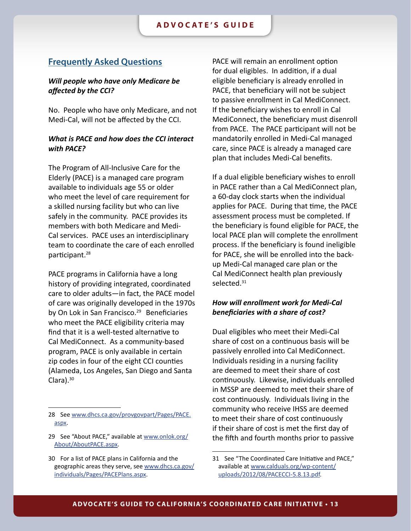### <span id="page-12-0"></span>**Frequently Asked Questions**

### *Will people who have only Medicare be affected by the CCI?*

No. People who have only Medicare, and not Medi-Cal, will not be affected by the CCI.

### *What is PACE and how does the CCI interact with PACE?*

The Program of All-Inclusive Care for the Elderly (PACE) is a managed care program available to individuals age 55 or older who meet the level of care requirement for a skilled nursing facility but who can live safely in the community. PACE provides its members with both Medicare and Medi-Cal services. PACE uses an interdisciplinary team to coordinate the care of each enrolled participant.<sup>28</sup>

PACE programs in California have a long history of providing integrated, coordinated care to older adults—in fact, the PACE model of care was originally developed in the 1970s by On Lok in San Francisco.<sup>29</sup> Beneficiaries who meet the PACE eligibility criteria may find that it is a well-tested alternative to Cal MediConnect. As a community-based program, PACE is only available in certain zip codes in four of the eight CCI counties (Alameda, Los Angeles, San Diego and Santa Clara). $30$ 

PACE will remain an enrollment option for dual eligibles. In addition, if a dual eligible beneficiary is already enrolled in PACE, that beneficiary will not be subject to passive enrollment in Cal MediConnect. If the beneficiary wishes to enroll in Cal MediConnect, the beneficiary must disenroll from PACE. The PACE participant will not be mandatorily enrolled in Medi-Cal managed care, since PACE is already a managed care plan that includes Medi-Cal benefits.

If a dual eligible beneficiary wishes to enroll in PACE rather than a Cal MediConnect plan, a 60-day clock starts when the individual applies for PACE. During that time, the PACE assessment process must be completed. If the beneficiary is found eligible for PACE, the local PACE plan will complete the enrollment process. If the beneficiary is found ineligible for PACE, she will be enrolled into the backup Medi-Cal managed care plan or the Cal MediConnect health plan previously selected.<sup>31</sup>

### *How will enrollment work for Medi-Cal beneficiaries with a share of cost?*

Dual eligibles who meet their Medi-Cal share of cost on a continuous basis will be passively enrolled into Cal MediConnect. Individuals residing in a nursing facility are deemed to meet their share of cost continuously. Likewise, individuals enrolled in MSSP are deemed to meet their share of cost continuously. Individuals living in the community who receive IHSS are deemed to meet their share of cost continuously if their share of cost is met the first day of the fifth and fourth months prior to passive

<sup>28</sup> See [www.dhcs.ca.gov/provgovpart/Pages/PACE.](www.dhcs.ca.gov/provgovpart/Pages/PACE.aspx) [aspx](www.dhcs.ca.gov/provgovpart/Pages/PACE.aspx).

<sup>29</sup> See "About PACE," available at [www.onlok.org/](http://www.onlok.org/About/AboutPACE.aspx) [About/AboutPACE.aspx](http://www.onlok.org/About/AboutPACE.aspx).

<sup>30</sup> For a list of PACE plans in California and the geographic areas they serve, see [www.dhcs.ca.gov/](www.dhcs.ca.gov/individuals/Pages/PACEPlans.aspx) [individuals/Pages/PACEPlans.aspx.](www.dhcs.ca.gov/individuals/Pages/PACEPlans.aspx)

<sup>31</sup> See "The Coordinated Care Initiative and PACE," available at [www.calduals.org/wp-content/](www.calduals.org/wp-content/uploads/2012/08/PACECCI-5.8.13.pdf) [uploads/2012/08/PACECCI-5.8.13.pdf.](www.calduals.org/wp-content/uploads/2012/08/PACECCI-5.8.13.pdf)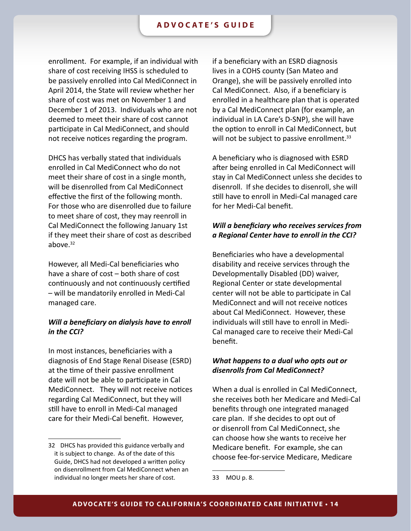enrollment. For example, if an individual with share of cost receiving IHSS is scheduled to be passively enrolled into Cal MediConnect in April 2014, the State will review whether her share of cost was met on November 1 and December 1 of 2013. Individuals who are not deemed to meet their share of cost cannot participate in Cal MediConnect, and should not receive notices regarding the program.

DHCS has verbally stated that individuals enrolled in Cal MediConnect who do not meet their share of cost in a single month, will be disenrolled from Cal MediConnect effective the first of the following month. For those who are disenrolled due to failure to meet share of cost, they may reenroll in Cal MediConnect the following January 1st if they meet their share of cost as described above. $32$ 

However, all Medi-Cal beneficiaries who have a share of cost – both share of cost continuously and not continuously certified – will be mandatorily enrolled in Medi-Cal managed care.

### *Will a beneficiary on dialysis have to enroll in the CCI?*

In most instances, beneficiaries with a diagnosis of End Stage Renal Disease (ESRD) at the time of their passive enrollment date will not be able to participate in Cal MediConnect. They will not receive notices regarding Cal MediConnect, but they will still have to enroll in Medi-Cal managed care for their Medi-Cal benefit. However,

if a beneficiary with an ESRD diagnosis lives in a COHS county (San Mateo and Orange), she will be passively enrolled into Cal MediConnect. Also, if a beneficiary is enrolled in a healthcare plan that is operated by a Cal MediConnect plan (for example, an individual in LA Care's D-SNP), she will have the option to enroll in Cal MediConnect, but will not be subject to passive enrollment. $33$ 

A beneficiary who is diagnosed with ESRD after being enrolled in Cal MediConnect will stay in Cal MediConnect unless she decides to disenroll. If she decides to disenroll, she will still have to enroll in Medi-Cal managed care for her Medi-Cal benefit.

### *Will a beneficiary who receives services from a Regional Center have to enroll in the CCI?*

Beneficiaries who have a developmental disability and receive services through the Developmentally Disabled (DD) waiver, Regional Center or state developmental center will not be able to participate in Cal MediConnect and will not receive notices about Cal MediConnect. However, these individuals will still have to enroll in Medi-Cal managed care to receive their Medi-Cal benefit.

### *What happens to a dual who opts out or disenrolls from Cal MediConnect?*

When a dual is enrolled in Cal MediConnect, she receives both her Medicare and Medi-Cal benefits through one integrated managed care plan. If she decides to opt out of or disenroll from Cal MediConnect, she can choose how she wants to receive her Medicare benefit. For example, she can choose fee-for-service Medicare, Medicare

<sup>32</sup> DHCS has provided this guidance verbally and it is subject to change. As of the date of this Guide, DHCS had not developed a written policy on disenrollment from Cal MediConnect when an individual no longer meets her share of cost.

<sup>33</sup> MOU p. 8.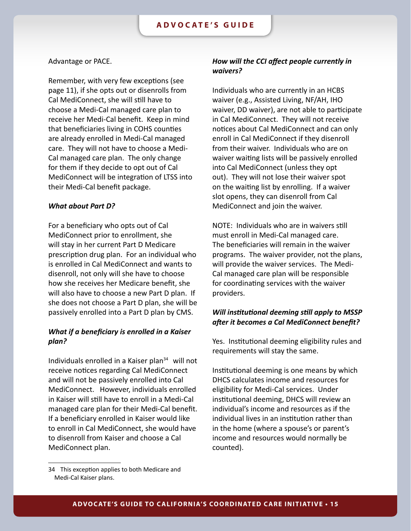#### Advantage or PACE.

Remember, with very few exceptions (see page 11), if she opts out or disenrolls from Cal MediConnect, she will still have to choose a Medi-Cal managed care plan to receive her Medi-Cal benefit. Keep in mind that beneficiaries living in COHS counties are already enrolled in Medi-Cal managed care. They will not have to choose a Medi-Cal managed care plan. The only change for them if they decide to opt out of Cal MediConnect will be integration of LTSS into their Medi-Cal benefit package.

#### *What about Part D?*

For a beneficiary who opts out of Cal MediConnect prior to enrollment, she will stay in her current Part D Medicare prescription drug plan. For an individual who is enrolled in Cal MediConnect and wants to disenroll, not only will she have to choose how she receives her Medicare benefit, she will also have to choose a new Part D plan. If she does not choose a Part D plan, she will be passively enrolled into a Part D plan by CMS.

### *What if a beneficiary is enrolled in a Kaiser plan?*

Individuals enrolled in a Kaiser plan $34$  will not receive notices regarding Cal MediConnect and will not be passively enrolled into Cal MediConnect. However, individuals enrolled in Kaiser will still have to enroll in a Medi-Cal managed care plan for their Medi-Cal benefit. If a beneficiary enrolled in Kaiser would like to enroll in Cal MediConnect, she would have to disenroll from Kaiser and choose a Cal MediConnect plan.

### *How will the CCI affect people currently in waivers?*

Individuals who are currently in an HCBS waiver (e.g., Assisted Living, NF/AH, IHO waiver, DD waiver), are not able to participate in Cal MediConnect. They will not receive notices about Cal MediConnect and can only enroll in Cal MediConnect if they disenroll from their waiver. Individuals who are on waiver waiting lists will be passively enrolled into Cal MediConnect (unless they opt out). They will not lose their waiver spot on the waiting list by enrolling. If a waiver slot opens, they can disenroll from Cal MediConnect and join the waiver.

NOTE: Individuals who are in waivers still must enroll in Medi-Cal managed care. The beneficiaries will remain in the waiver programs. The waiver provider, not the plans, will provide the waiver services. The Medi-Cal managed care plan will be responsible for coordinating services with the waiver providers.

### *Will institutional deeming still apply to MSSP after it becomes a Cal MediConnect benefit?*

Yes. Institutional deeming eligibility rules and requirements will stay the same.

Institutional deeming is one means by which DHCS calculates income and resources for eligibility for Medi-Cal services. Under institutional deeming, DHCS will review an individual's income and resources as if the individual lives in an institution rather than in the home (where a spouse's or parent's income and resources would normally be counted).

<sup>34</sup> This exception applies to both Medicare and Medi-Cal Kaiser plans.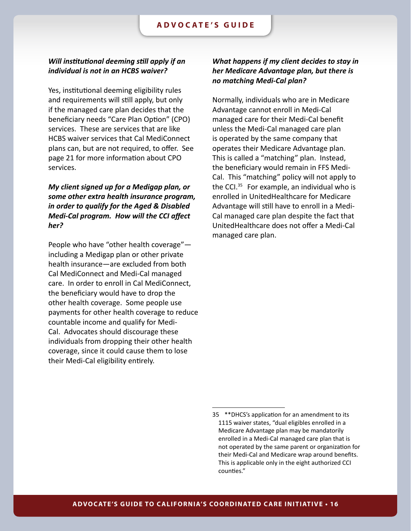### *Will institutional deeming still apply if an individual is not in an HCBS waiver?*

Yes, institutional deeming eligibility rules and requirements will still apply, but only if the managed care plan decides that the beneficiary needs "Care Plan Option" (CPO) services. These are services that are like HCBS waiver services that Cal MediConnect plans can, but are not required, to offer. See page 21 for more information about CPO services.

*My client signed up for a Medigap plan, or some other extra health insurance program, in order to qualify for the Aged & Disabled Medi-Cal program. How will the CCI affect her?*

People who have "other health coverage" including a Medigap plan or other private health insurance—are excluded from both Cal MediConnect and Medi-Cal managed care. In order to enroll in Cal MediConnect, the beneficiary would have to drop the other health coverage. Some people use payments for other health coverage to reduce countable income and qualify for Medi-Cal. Advocates should discourage these individuals from dropping their other health coverage, since it could cause them to lose their Medi-Cal eligibility entirely.

### *What happens if my client decides to stay in her Medicare Advantage plan, but there is no matching Medi-Cal plan?*

Normally, individuals who are in Medicare Advantage cannot enroll in Medi-Cal managed care for their Medi-Cal benefit unless the Medi-Cal managed care plan is operated by the same company that operates their Medicare Advantage plan. This is called a "matching" plan. Instead, the beneficiary would remain in FFS Medi-Cal. This "matching" policy will not apply to the CCI. $35$  For example, an individual who is enrolled in UnitedHealthcare for Medicare Advantage will still have to enroll in a Medi-Cal managed care plan despite the fact that UnitedHealthcare does not offer a Medi-Cal managed care plan.

<sup>35</sup> \*\*DHCS's application for an amendment to its 1115 waiver states, "dual eligibles enrolled in a Medicare Advantage plan may be mandatorily enrolled in a Medi-Cal managed care plan that is not operated by the same parent or organization for their Medi-Cal and Medicare wrap around benefits. This is applicable only in the eight authorized CCI counties."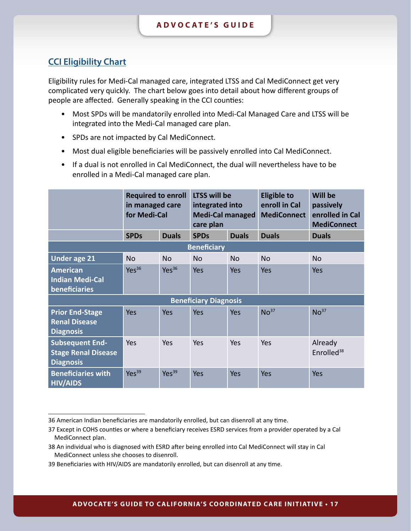### <span id="page-16-0"></span>**CCI Eligibility Chart**

Eligibility rules for Medi-Cal managed care, integrated LTSS and Cal MediConnect get very complicated very quickly. The chart below goes into detail about how different groups of people are affected. Generally speaking in the CCI counties:

- Most SPDs will be mandatorily enrolled into Medi-Cal Managed Care and LTSS will be integrated into the Medi-Cal managed care plan.
- SPDs are not impacted by Cal MediConnect.
- Most dual eligible beneficiaries will be passively enrolled into Cal MediConnect.
- If a dual is not enrolled in Cal MediConnect, the dual will nevertheless have to be enrolled in a Medi-Cal managed care plan.

|                                                                          | <b>Required to enroll</b><br>in managed care<br>for Medi-Cal |                   | LTSS will be<br>integrated into<br><b>Medi-Cal managed</b><br>care plan |              | <b>Eligible to</b><br>enroll in Cal<br><b>MediConnect</b> | <b>Will be</b><br>passively<br>enrolled in Cal<br><b>MediConnect</b> |
|--------------------------------------------------------------------------|--------------------------------------------------------------|-------------------|-------------------------------------------------------------------------|--------------|-----------------------------------------------------------|----------------------------------------------------------------------|
|                                                                          | <b>SPDs</b>                                                  | <b>Duals</b>      | <b>SPDs</b>                                                             | <b>Duals</b> | <b>Duals</b>                                              | <b>Duals</b>                                                         |
|                                                                          |                                                              |                   | <b>Beneficiary</b>                                                      |              |                                                           |                                                                      |
| Under age 21                                                             | <b>No</b>                                                    | <b>No</b>         | <b>No</b>                                                               | <b>No</b>    | <b>No</b>                                                 | <b>No</b>                                                            |
| <b>American</b><br><b>Indian Medi-Cal</b><br>beneficiaries               | Yes <sup>36</sup>                                            | Yes <sup>36</sup> | Yes                                                                     | <b>Yes</b>   | <b>Yes</b>                                                | <b>Yes</b>                                                           |
|                                                                          |                                                              |                   | <b>Beneficiary Diagnosis</b>                                            |              |                                                           |                                                                      |
| <b>Prior End-Stage</b><br><b>Renal Disease</b><br><b>Diagnosis</b>       | <b>Yes</b>                                                   | Yes               | <b>Yes</b>                                                              | <b>Yes</b>   | No <sup>37</sup>                                          | No <sup>37</sup>                                                     |
| <b>Subsequent End-</b><br><b>Stage Renal Disease</b><br><b>Diagnosis</b> | Yes                                                          | Yes               | Yes                                                                     | Yes          | Yes                                                       | Already<br>Enrolled <sup>38</sup>                                    |
| <b>Beneficiaries with</b><br><b>HIV/AIDS</b>                             | Yes <sup>39</sup>                                            | Yes <sup>39</sup> | <b>Yes</b>                                                              | <b>Yes</b>   | <b>Yes</b>                                                | Yes                                                                  |

<span id="page-16-1"></span><sup>36</sup> American Indian beneficiaries are mandatorily enrolled, but can disenroll at any time.

<sup>37</sup> Except in COHS counties or where a beneficiary receives ESRD services from a provider operated by a Cal MediConnect plan.

<sup>38</sup> An individual who is diagnosed with ESRD after being enrolled into Cal MediConnect will stay in Cal MediConnect unless she chooses to disenroll.

<sup>39</sup> Beneficiaries with HIV/AIDS are mandatorily enrolled, but can disenroll at any time.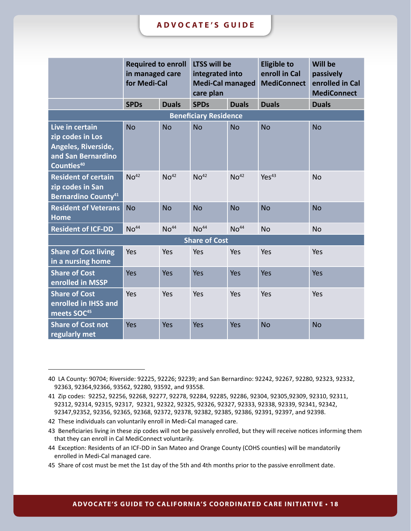|                                                                                                            | <b>Required to enroll</b><br>in managed care<br>for Medi-Cal |                  | <b>LTSS will be</b><br>integrated into<br><b>Medi-Cal managed</b><br>care plan |                  | <b>Eligible to</b><br>enroll in Cal<br><b>MediConnect</b> | <b>Will be</b><br>passively<br>enrolled in Cal<br><b>MediConnect</b> |
|------------------------------------------------------------------------------------------------------------|--------------------------------------------------------------|------------------|--------------------------------------------------------------------------------|------------------|-----------------------------------------------------------|----------------------------------------------------------------------|
|                                                                                                            | <b>SPDs</b>                                                  | <b>Duals</b>     | <b>SPDs</b>                                                                    | <b>Duals</b>     | <b>Duals</b>                                              | <b>Duals</b>                                                         |
|                                                                                                            |                                                              |                  | <b>Beneficiary Residence</b>                                                   |                  |                                                           |                                                                      |
| Live in certain<br>zip codes in Los<br>Angeles, Riverside,<br>and San Bernardino<br>Counties <sup>40</sup> | <b>No</b>                                                    | <b>No</b>        | <b>No</b>                                                                      | <b>No</b>        | <b>No</b>                                                 | <b>No</b>                                                            |
| <b>Resident of certain</b><br>zip codes in San<br><b>Bernardino County</b> <sup>41</sup>                   | NO <sup>42</sup>                                             | NO <sup>42</sup> | NO <sup>42</sup>                                                               | NO <sup>42</sup> | Yes <sup>43</sup>                                         | <b>No</b>                                                            |
| <b>Resident of Veterans</b><br><b>Home</b>                                                                 | <b>No</b>                                                    | <b>No</b>        | <b>No</b>                                                                      | <b>No</b>        | <b>No</b>                                                 | <b>No</b>                                                            |
| <b>Resident of ICF-DD</b>                                                                                  | NO <sup>44</sup>                                             | NO <sup>44</sup> | NO <sup>44</sup>                                                               | NO <sup>44</sup> | <b>No</b>                                                 | <b>No</b>                                                            |
|                                                                                                            |                                                              |                  | <b>Share of Cost</b>                                                           |                  |                                                           |                                                                      |
| <b>Share of Cost living</b><br>in a nursing home                                                           | Yes                                                          | Yes              | Yes                                                                            | Yes              | Yes                                                       | Yes                                                                  |
| <b>Share of Cost</b><br>enrolled in MSSP                                                                   | Yes                                                          | Yes              | Yes                                                                            | Yes              | Yes                                                       | Yes                                                                  |
| <b>Share of Cost</b><br>enrolled in IHSS and<br>meets SOC <sup>45</sup>                                    | Yes                                                          | Yes              | Yes                                                                            | Yes              | Yes                                                       | Yes                                                                  |
| <b>Share of Cost not</b><br>regularly met                                                                  | Yes                                                          | Yes              | Yes                                                                            | Yes              | <b>No</b>                                                 | <b>No</b>                                                            |

<sup>40</sup> LA County: 90704; Riverside: 92225, 92226; 92239; and San Bernardino: 92242, 92267, 92280, 92323, 92332, 92363, 92364,92366, 93562, 92280, 93592, and 93558.

<sup>41</sup> Zip codes: 92252, 92256, 92268, 92277, 92278, 92284, 92285, 92286, 92304, 92305,92309, 92310, 92311, 92312, 92314, 92315, 92317, 92321, 92322, 92325, 92326, 92327, 92333, 92338, 92339, 92341, 92342, 92347,92352, 92356, 92365, 92368, 92372, 92378, 92382, 92385, 92386, 92391, 92397, and 92398.

<sup>42</sup> These individuals can voluntarily enroll in Medi-Cal managed care.

<sup>43</sup> Beneficiaries living in these zip codes will not be passively enrolled, but they will receive notices informing them that they can enroll in Cal MediConnect voluntarily.

<sup>44</sup> Exception: Residents of an ICF-DD in San Mateo and Orange County (COHS counties) will be mandatorily enrolled in Medi-Cal managed care.

<sup>45</sup> Share of cost must be met the 1st day of the 5th and 4th months prior to the passive enrollment date.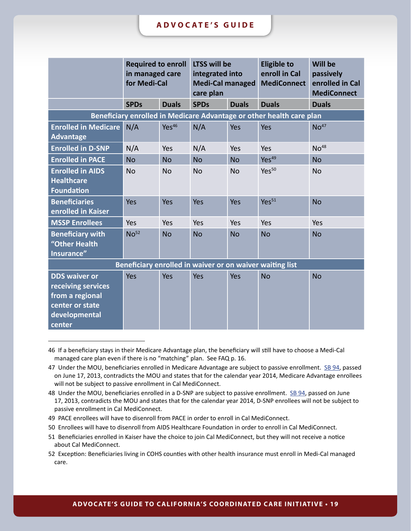|                                                                                                             | <b>Required to enroll</b><br>in managed care<br>for Medi-Cal |                   | <b>LTSS will be</b><br>integrated into<br><b>Medi-Cal managed</b><br>care plan |              | <b>Eligible to</b><br>enroll in Cal<br><b>MediConnect</b>            | <b>Will be</b><br>passively<br>enrolled in Cal<br><b>MediConnect</b> |
|-------------------------------------------------------------------------------------------------------------|--------------------------------------------------------------|-------------------|--------------------------------------------------------------------------------|--------------|----------------------------------------------------------------------|----------------------------------------------------------------------|
|                                                                                                             | <b>SPDs</b>                                                  | <b>Duals</b>      | <b>SPDs</b>                                                                    | <b>Duals</b> | <b>Duals</b>                                                         | <b>Duals</b>                                                         |
|                                                                                                             |                                                              |                   |                                                                                |              | Beneficiary enrolled in Medicare Advantage or other health care plan |                                                                      |
| <b>Enrolled in Medicare</b><br><b>Advantage</b>                                                             | N/A                                                          | Yes <sup>46</sup> | N/A                                                                            | Yes          | Yes                                                                  | NO <sup>47</sup>                                                     |
| <b>Enrolled in D-SNP</b>                                                                                    | N/A                                                          | Yes               | N/A                                                                            | Yes          | Yes                                                                  | NO <sup>48</sup>                                                     |
| <b>Enrolled in PACE</b>                                                                                     | <b>No</b>                                                    | <b>No</b>         | <b>No</b>                                                                      | <b>No</b>    | Yes <sup>49</sup>                                                    | <b>No</b>                                                            |
| <b>Enrolled in AIDS</b><br><b>Healthcare</b><br><b>Foundation</b>                                           | <b>No</b>                                                    | <b>No</b>         | <b>No</b>                                                                      | <b>No</b>    | Yes <sup>50</sup>                                                    | <b>No</b>                                                            |
| <b>Beneficiaries</b><br>enrolled in Kaiser                                                                  | Yes                                                          | Yes               | Yes                                                                            | Yes          | Yes <sup>51</sup>                                                    | <b>No</b>                                                            |
| <b>MSSP Enrollees</b>                                                                                       | Yes                                                          | Yes               | Yes                                                                            | Yes          | Yes                                                                  | Yes                                                                  |
| <b>Beneficiary with</b><br>"Other Health<br>Insurance"                                                      | No <sup>52</sup>                                             | <b>No</b>         | <b>No</b>                                                                      | <b>No</b>    | <b>No</b>                                                            | <b>No</b>                                                            |
| Beneficiary enrolled in waiver or on waiver waiting list                                                    |                                                              |                   |                                                                                |              |                                                                      |                                                                      |
| <b>DDS waiver or</b><br>receiving services<br>from a regional<br>center or state<br>developmental<br>center | Yes                                                          | Yes               | Yes                                                                            | Yes          | <b>No</b>                                                            | <b>No</b>                                                            |

<sup>46</sup> If a beneficiary stays in their Medicare Advantage plan, the beneficiary will still have to choose a Medi-Cal managed care plan even if there is no "matching" plan. See FAQ p. 16.

- 49 PACE enrollees will have to disenroll from PACE in order to enroll in Cal MediConnect.
- 50 Enrollees will have to disenroll from AIDS Healthcare Foundation in order to enroll in Cal MediConnect.

<sup>47</sup> Under the MOU, beneficiaries enrolled in Medicare Advantage are subject to passive enrollment. [SB 94,](http://www.leginfo.ca.gov/pub/13-14/bill/sen/sb_0051-0100/sb_94_bill_20130618_enrolled.pdf) passed on June 17, 2013, contradicts the MOU and states that for the calendar year 2014, Medicare Advantage enrollees will not be subject to passive enrollment in Cal MediConnect.

<sup>48</sup> Under the MOU, beneficiaries enrolled in a D-SNP are subject to passive enrollment. [SB 94,](http://www.leginfo.ca.gov/pub/13-14/bill/sen/sb_0051-0100/sb_94_bill_20130618_enrolled.pdf) passed on June 17, 2013, contradicts the MOU and states that for the calendar year 2014, D-SNP enrollees will not be subject to passive enrollment in Cal MediConnect.

<sup>51</sup> Beneficiaries enrolled in Kaiser have the choice to join Cal MediConnect, but they will not receive a notice about Cal MediConnect.

<sup>52</sup> Exception: Beneficiaries living in COHS counties with other health insurance must enroll in Medi-Cal managed care.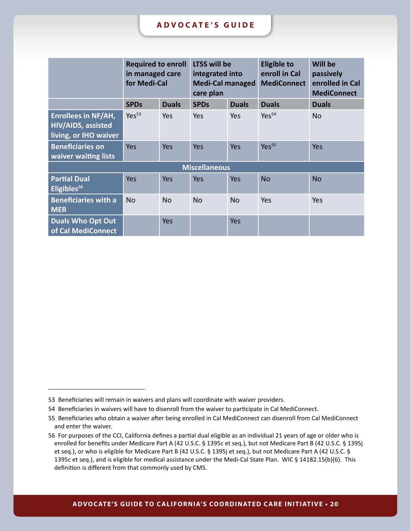|                                                                           | <b>Required to enroll</b><br>in managed care<br>for Medi-Cal |              | <b>LTSS will be</b><br>integrated into<br><b>Medi-Cal managed</b><br>care plan |              | <b>Eligible to</b><br>enroll in Cal<br><b>MediConnect</b> | Will be<br>passively<br>enrolled in Cal<br><b>MediConnect</b> |
|---------------------------------------------------------------------------|--------------------------------------------------------------|--------------|--------------------------------------------------------------------------------|--------------|-----------------------------------------------------------|---------------------------------------------------------------|
|                                                                           | <b>SPDs</b>                                                  | <b>Duals</b> | <b>SPDs</b>                                                                    | <b>Duals</b> | <b>Duals</b>                                              | <b>Duals</b>                                                  |
| <b>Enrollees in NF/AH,</b><br>HIV/AIDS, assisted<br>living, or IHO waiver | Yes <sup>53</sup>                                            | Yes          | Yes                                                                            | Yes          | Yes <sup>54</sup>                                         | N <sub>o</sub>                                                |
| <b>Beneficiaries on</b><br>waiver waiting lists                           | <b>Yes</b>                                                   | <b>Yes</b>   | <b>Yes</b>                                                                     | <b>Yes</b>   | Yes <sup>55</sup>                                         | <b>Yes</b>                                                    |
| <b>Miscellaneous</b>                                                      |                                                              |              |                                                                                |              |                                                           |                                                               |
| <b>Partial Dual</b><br>Eligibles <sup>56</sup>                            | <b>Yes</b>                                                   | <b>Yes</b>   | <b>Yes</b>                                                                     | <b>Yes</b>   | <b>No</b>                                                 | <b>No</b>                                                     |
| <b>Beneficiaries with a</b><br><b>MER</b>                                 | <b>No</b>                                                    | <b>No</b>    | <b>No</b>                                                                      | <b>No</b>    | Yes                                                       | Yes                                                           |
| <b>Duals Who Opt Out</b><br>of Cal MediConnect                            |                                                              | <b>Yes</b>   |                                                                                | <b>Yes</b>   |                                                           |                                                               |

<sup>53</sup> Beneficiaries will remain in waivers and plans will coordinate with waiver providers.

<sup>54</sup> Beneficiaries in waivers will have to disenroll from the waiver to participate in Cal MediConnect.

<sup>55</sup> Beneficiaries who obtain a waiver after being enrolled in Cal MediConnect can disenroll from Cal MediConnect and enter the waiver.

<sup>56</sup> For purposes of the CCI, California defines a partial dual eligible as an individual 21 years of age or older who is enrolled for benefits under Medicare Part A (42 U.S.C. § 1395c et seq.), but not Medicare Part B (42 U.S.C. § 1395j et seq.), or who is eligible for Medicare Part B (42 U.S.C. § 1395j et seq.), but not Medicare Part A (42 U.S.C. § 1395c et seq.), and is eligible for medical assistance under the Medi-Cal State Plan. WIC § 14182.15(b)(6). This definition is different from that commonly used by CMS.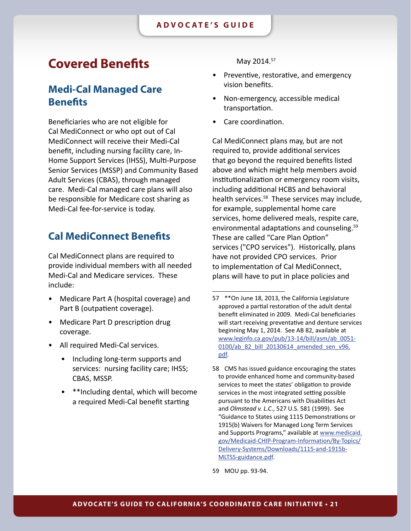## <span id="page-20-0"></span>**Covered Benefits**

### **Medi-Cal Managed Care Benefits**

Beneficiaries who are not eligible for Cal MediConnect or who opt out of Cal MediConnect will receive their Medi-Cal benefit, including nursing facility care, In-Home Support Services (IHSS), Multi-Purpose Senior Services (MSSP) and Community Based Adult Services (CBAS), through managed care. Medi-Cal managed care plans will also be responsible for Medicare cost sharing as Medi-Cal fee-for-service is today.

### **Cal MediConnect Benefits**

Cal MediConnect plans are required to provide individual members with all needed Medi-Cal and Medicare services. These include:

- Medicare Part A (hospital coverage) and Part B (outpatient coverage).
- Medicare Part D prescription drug coverage.
- All required Medi-Cal services.
	- Including long-term supports and services: nursing facility care; IHSS; CBAS, MSSP.
	- \*\*Including dental, which will become a required Medi-Cal benefit starting

May 2014.57

- Preventive, restorative, and emergency vision benefits.
- Non-emergency, accessible medical transportation.
- Care coordination.

Cal MediConnect plans may, but are not required to, provide additional services that go beyond the required benefits listed above and which might help members avoid institutionalization or emergency room visits, including additional HCBS and behavioral health services.<sup>58</sup> These services may include, for example, supplemental home care services, home delivered meals, respite care, environmental adaptations and counseling.<sup>59</sup> These are called "Care Plan Option" services ("CPO services"). Historically, plans have not provided CPO services. Prior to implementation of Cal MediConnect, plans will have to put in place policies and

59 MOU pp. 93-94.

<sup>57</sup> \*\*On June 18, 2013, the California Legislature approved a partial restoration of the adult dental benefit eliminated in 2009. Medi-Cal beneficiaries will start receiving preventative and denture services beginning May 1, 2014. See AB 82, available at [www.leginfo.ca.gov/pub/13-14/bill/asm/ab\\_0051-](www.leginfo.ca.gov/pub/13-14/bill/asm/ab_0051-0100/ab_82_bill_20130614_amended_sen_v96.pdf) 0100/ab 82 bill 20130614 amended sen v96. [pdf](www.leginfo.ca.gov/pub/13-14/bill/asm/ab_0051-0100/ab_82_bill_20130614_amended_sen_v96.pdf).

<sup>58</sup> CMS has issued guidance encouraging the states to provide enhanced home and community-based services to meet the states' obligation to provide services in the most integrated setting possible pursuant to the Americans with Disabilities Act and *Olmstead v. L.C*., 527 U.S. 581 (1999). See "Guidance to States using 1115 Demonstrations or 1915(b) Waivers for Managed Long Term Services and Supports Programs," available at [www.medicaid.](www.medicaid.gov/Medicaid-CHIP-Program-Information/By-Topics/Delivery-Systems/Downloads/1115-and-1915b-MLTSS-guidance.pdf) [gov/Medicaid-CHIP-Program-Information/By-Topics/](www.medicaid.gov/Medicaid-CHIP-Program-Information/By-Topics/Delivery-Systems/Downloads/1115-and-1915b-MLTSS-guidance.pdf) [Delivery-Systems/Downloads/1115-and-1915b-](www.medicaid.gov/Medicaid-CHIP-Program-Information/By-Topics/Delivery-Systems/Downloads/1115-and-1915b-MLTSS-guidance.pdf)[MLTSS-guidance.pdf.](www.medicaid.gov/Medicaid-CHIP-Program-Information/By-Topics/Delivery-Systems/Downloads/1115-and-1915b-MLTSS-guidance.pdf)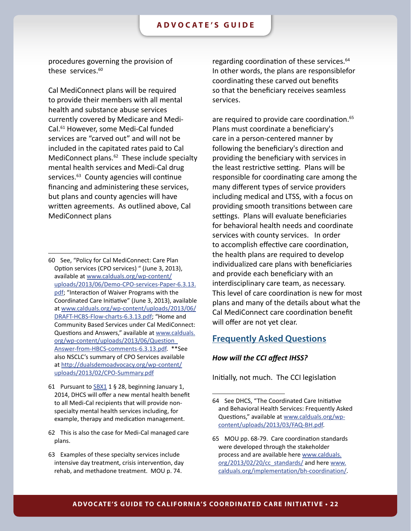<span id="page-21-0"></span>procedures governing the provision of these services.<sup>60</sup>

Cal MediConnect plans will be required to provide their members with all mental health and substance abuse services currently covered by Medicare and Medi-Cal.61 However, some Medi-Cal funded services are "carved out" and will not be included in the capitated rates paid to Cal MediConnect plans.<sup>62</sup> These include specialty mental health services and Medi-Cal drug services.<sup>63</sup> County agencies will continue financing and administering these services, but plans and county agencies will have written agreements. As outlined above, Cal MediConnect plans

regarding coordination of these services.<sup>64</sup> In other words, the plans are responsiblefor coordinating these carved out benefits so that the beneficiary receives seamless services.

are required to provide care coordination.<sup>65</sup> Plans must coordinate a beneficiary's care in a person-centered manner by following the beneficiary's direction and providing the beneficiary with services in the least restrictive setting. Plans will be responsible for coordinating care among the many different types of service providers including medical and LTSS, with a focus on providing smooth transitions between care settings. Plans will evaluate beneficiaries for behavioral health needs and coordinate services with county services. In order to accomplish effective care coordination, the health plans are required to develop individualized care plans with beneficiaries and provide each beneficiary with an interdisciplinary care team, as necessary. This level of care coordination is new for most plans and many of the details about what the Cal MediConnect care coordination benefit will offer are not yet clear.

### **Frequently Asked Questions**

#### *How will the CCI affect IHSS?*

Initially, not much. The CCI legislation

<sup>60</sup> See, "Policy for Cal MediConnect: Care Plan Option services (CPO services) " (June 3, 2013), available at [www.calduals.org/wp-content/](www.calduals.org/wp-content/uploads/2013/06/Demo-CPO-services-Paper-6.3.13.pdf) [uploads/2013/06/Demo-CPO-services-Pape](www.calduals.org/wp-content/uploads/2013/06/Demo-CPO-services-Paper-6.3.13.pdf)r-6.3.13. [pdf](www.calduals.org/wp-content/uploads/2013/06/Demo-CPO-services-Paper-6.3.13.pdf); "Interaction of Waiver Programs with the Coordinated Care Initiative" (June 3, 2013), available at [www.calduals.org/wp-content/uploads/2013/06/](www.calduals.org/wp-content/uploads/2013/06/DRAFT-HCBS-Flow-charts-6.3.13.pdf) [DRAFT-HCBS-Flow-charts-6.3.13.pdf](www.calduals.org/wp-content/uploads/2013/06/DRAFT-HCBS-Flow-charts-6.3.13.pdf); "Home and Community Based Services under Cal MediConnect: Questions and Answers," available at [www.calduals.](www.calduals.org/wp-content/uploads/2013/06/Question_Answer-from-HBCS-comments-6.3.13.pdf) [org/wp-content/uploads/2013/06/Question\\_](www.calduals.org/wp-content/uploads/2013/06/Question_Answer-from-HBCS-comments-6.3.13.pdf) [Answer-from-HBCS-comments-6.3.13.pdf](www.calduals.org/wp-content/uploads/2013/06/Question_Answer-from-HBCS-comments-6.3.13.pdf). \*\*See also NSCLC's summary of CPO Services available at [http://dualsdemoadvocacy.org/wp-content/](http://dualsdemoadvocacy.org/wp-content/uploads/2013/02/CPO-Summary.pdf) [uploads/2013/02/CPO-Summary.pdf](http://dualsdemoadvocacy.org/wp-content/uploads/2013/02/CPO-Summary.pdf)

<sup>61</sup> Pursuant to  $\underline{SBX1}$  1 § 28, beginning January 1, 2014, DHCS will offer a new mental health benefit to all Medi-Cal recipients that will provide nonspecialty mental health services including, for example, therapy and medication management.

<sup>62</sup> This is also the case for Medi-Cal managed care plans.

<sup>63</sup> Examples of these specialty services include intensive day treatment, crisis intervention, day rehab, and methadone treatment. MOU p. 74.

<sup>64</sup> See DHCS, "The Coordinated Care Initiative and Behavioral Health Services: Frequently Asked Questions," available at [www.calduals.org/wp](www.calduals.org/wp-content/uploads/2013/03/FAQ-BH.pdf)[content/uploads/2013/03/FAQ-BH.pdf](www.calduals.org/wp-content/uploads/2013/03/FAQ-BH.pdf).

<sup>65</sup> MOU pp. 68-79. Care coordination standards were developed through the stakeholder process and are available here [www.calduals.](www.calduals.org/2013/02/20/cc_standards/) [org/2013/02/20/cc\\_standards/](www.calduals.org/2013/02/20/cc_standards/) and here [www.](www.calduals.org/implementation/bh-coordination/) [calduals.org/implementation/bh-coordination/](www.calduals.org/implementation/bh-coordination/).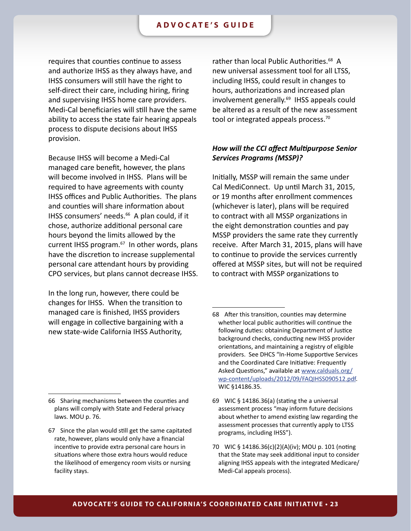requires that counties continue to assess and authorize IHSS as they always have, and IHSS consumers will still have the right to self-direct their care, including hiring, firing and supervising IHSS home care providers. Medi-Cal beneficiaries will still have the same ability to access the state fair hearing appeals process to dispute decisions about IHSS provision.

Because IHSS will become a Medi-Cal managed care benefit, however, the plans will become involved in IHSS. Plans will be required to have agreements with county IHSS offices and Public Authorities. The plans and counties will share information about IHSS consumers' needs.<sup>66</sup> A plan could, if it chose, authorize additional personal care hours beyond the limits allowed by the current IHSS program.<sup>67</sup> In other words, plans have the discretion to increase supplemental personal care attendant hours by providing CPO services, but plans cannot decrease IHSS.

In the long run, however, there could be changes for IHSS. When the transition to managed care is finished, IHSS providers will engage in collective bargaining with a new state-wide California IHSS Authority,

rather than local Public Authorities.<sup>68</sup> A new universal assessment tool for all LTSS, including IHSS, could result in changes to hours, authorizations and increased plan involvement generally.<sup>69</sup> IHSS appeals could be altered as a result of the new assessment tool or integrated appeals process.<sup>70</sup>

### *How will the CCI affect Multipurpose Senior Services Programs (MSSP)?*

Initially, MSSP will remain the same under Cal MediConnect. Up until March 31, 2015, or 19 months after enrollment commences (whichever is later), plans will be required to contract with all MSSP organizations in the eight demonstration counties and pay MSSP providers the same rate they currently receive. After March 31, 2015, plans will have to continue to provide the services currently offered at MSSP sites, but will not be required to contract with MSSP organizations to

<sup>68</sup> After this transition, counties may determine whether local public authorities will continue the following duties: obtaining Department of Justice background checks, conducting new IHSS provider orientations, and maintaining a registry of eligible providers. See DHCS "In-Home Supportive Services and the Coordinated Care Initiative: Frequently Asked Questions," available at [www.calduals.org/](www.calduals.org/wp-content/uploads/2012/09/FAQIHSS090512.pdf) [wp-content/uploads/2012/09/FAQIHSS090512.pdf](www.calduals.org/wp-content/uploads/2012/09/FAQIHSS090512.pdf). WIC §14186.35.

<sup>66</sup> Sharing mechanisms between the counties and plans will comply with State and Federal privacy laws. MOU p. 76.

<sup>67</sup> Since the plan would still get the same capitated rate, however, plans would only have a financial incentive to provide extra personal care hours in situations where those extra hours would reduce the likelihood of emergency room visits or nursing facility stays.

<sup>69</sup> WIC § 14186.36(a) (stating the a universal assessment process "may inform future decisions about whether to amend existing law regarding the assessment processes that currently apply to LTSS programs, including IHSS").

<sup>70</sup> WIC § 14186.36(c)(2)(A)(iv); MOU p. 101 (noting that the State may seek additional input to consider aligning IHSS appeals with the integrated Medicare/ Medi-Cal appeals process).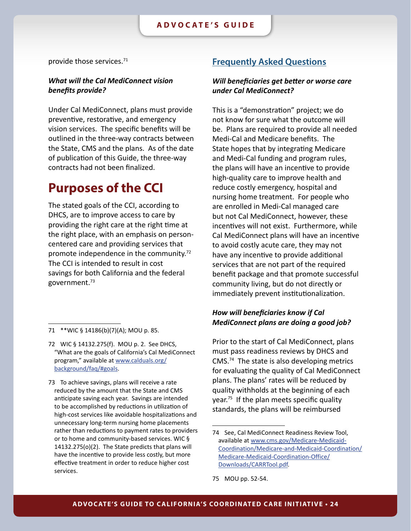<span id="page-23-0"></span>provide those services.71

### *What will the Cal MediConnect vision benefits provide?*

Under Cal MediConnect, plans must provide preventive, restorative, and emergency vision services. The specific benefits will be outlined in the three-way contracts between the State, CMS and the plans. As of the date of publication of this Guide, the three-way contracts had not been finalized.

## **Purposes of the CCI**

The stated goals of the CCI, according to DHCS, are to improve access to care by providing the right care at the right time at the right place, with an emphasis on personcentered care and providing services that promote independence in the community.<sup>72</sup> The CCI is intended to result in cost savings for both California and the federal government.73

73 To achieve savings, plans will receive a rate reduced by the amount that the State and CMS anticipate saving each year. Savings are intended to be accomplished by reductions in utilization of high-cost services like avoidable hospitalizations and unnecessary long-term nursing home placements rather than reductions to payment rates to providers or to home and community-based services. WIC § 14132.275(o)(2). The State predicts that plans will have the incentive to provide less costly, but more effective treatment in order to reduce higher cost services.

### **Frequently Asked Questions**

### *Will beneficiaries get better or worse care under Cal MediConnect?*

This is a "demonstration" project; we do not know for sure what the outcome will be. Plans are required to provide all needed Medi-Cal and Medicare benefits. The State hopes that by integrating Medicare and Medi-Cal funding and program rules, the plans will have an incentive to provide high-quality care to improve health and reduce costly emergency, hospital and nursing home treatment. For people who are enrolled in Medi-Cal managed care but not Cal MediConnect, however, these incentives will not exist. Furthermore, while Cal MediConnect plans will have an incentive to avoid costly acute care, they may not have any incentive to provide additional services that are not part of the required benefit package and that promote successful community living, but do not directly or immediately prevent institutionalization.

### *How will beneficiaries know if Cal MediConnect plans are doing a good job?*

Prior to the start of Cal MediConnect, plans must pass readiness reviews by DHCS and CMS.74 The state is also developing metrics for evaluating the quality of Cal MediConnect plans. The plans' rates will be reduced by quality withholds at the beginning of each year.<sup>75</sup> If the plan meets specific quality standards, the plans will be reimbursed

<sup>71</sup> \*\*WIC § 14186(b)(7)(A); MOU p. 85.

<sup>72</sup> WIC § 14132.275(f). MOU p. 2. See DHCS, "What are the goals of California's Cal MediConnect program," available at [www.calduals.org/](www.calduals.org/background/faq/#goals) [background/faq/#goals](www.calduals.org/background/faq/#goals).

<sup>74</sup> See, Cal MediConnect Readiness Review Tool, available at [www.cms.gov/Medicare-Medicaid-](www.cms.gov/Medicare-Medicaid-Coordination/Medicare-and-Medicaid-Coordination/Medicare-Medicaid-Coordination-Office/Downloads/CARRTool.pdf)[Coordination/Medicare-and-Medicaid-Coordination/](www.cms.gov/Medicare-Medicaid-Coordination/Medicare-and-Medicaid-Coordination/Medicare-Medicaid-Coordination-Office/Downloads/CARRTool.pdf) [Medicare-Medicaid-Coordination-Office/](www.cms.gov/Medicare-Medicaid-Coordination/Medicare-and-Medicaid-Coordination/Medicare-Medicaid-Coordination-Office/Downloads/CARRTool.pdf) [Downloads/CARRTool.pdf.](www.cms.gov/Medicare-Medicaid-Coordination/Medicare-and-Medicaid-Coordination/Medicare-Medicaid-Coordination-Office/Downloads/CARRTool.pdf)

<sup>75</sup> MOU pp. 52-54.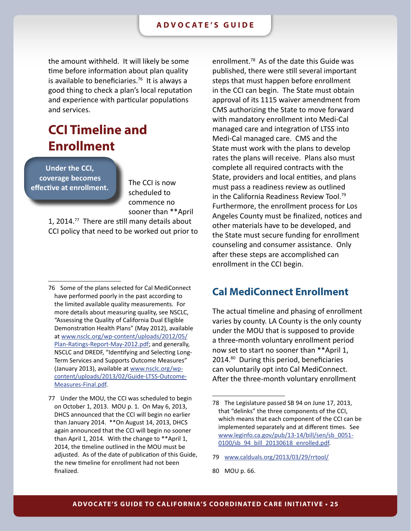<span id="page-24-0"></span>the amount withheld. It will likely be some time before information about plan quality is available to beneficiaries.<sup>76</sup> It is always a good thing to check a plan's local reputation and experience with particular populations and services.

## **CCI Timeline and Enrollment**

**Under the CCI, coverage becomes effective at enrollment.**

The CCI is now scheduled to commence no sooner than \*\*April

1, 2014.77 There are still many details about CCI policy that need to be worked out prior to

77 Under the MOU, the CCI was scheduled to begin on October 1, 2013. MOU p. 1. On May 6, 2013, DHCS announced that the CCI will begin no earlier than January 2014. \*\*On August 14, 2013, DHCS again announced that the CCI will begin no sooner than April 1, 2014. With the change to \*\*April 1, 2014, the timeline outlined in the MOU must be adjusted. As of the date of publication of this Guide, the new timeline for enrollment had not been finalized.

enrollment.78 As of the date this Guide was published, there were still several important steps that must happen before enrollment in the CCI can begin. The State must obtain approval of its 1115 waiver amendment from CMS authorizing the State to move forward with mandatory enrollment into Medi-Cal managed care and integration of LTSS into Medi-Cal managed care. CMS and the State must work with the plans to develop rates the plans will receive. Plans also must complete all required contracts with the State, providers and local entities, and plans must pass a readiness review as outlined in the California Readiness Review Tool.79 Furthermore, the enrollment process for Los Angeles County must be finalized, notices and other materials have to be developed, and the State must secure funding for enrollment counseling and consumer assistance. Only after these steps are accomplished can enrollment in the CCI begin.

### **Cal MediConnect Enrollment**

The actual timeline and phasing of enrollment varies by county. LA County is the only county under the MOU that is supposed to provide a three-month voluntary enrollment period now set to start no sooner than \*\*April 1, 2014.80 During this period, beneficiaries can voluntarily opt into Cal MediConnect. After the three-month voluntary enrollment

79 <www.calduals.org/2013/03/29/rrtool/>

<sup>76</sup> Some of the plans selected for Cal MediConnect have performed poorly in the past according to the limited available quality measurements. For more details about measuring quality, see NSCLC, "Assessing the Quality of California Dual Eligible Demonstration Health Plans" (May 2012), available at [www.nsclc.org/wp-content/uploads/2012/05/](www.nsclc.org/wp-content/uploads/2012/05/Plan-Ratings-Report-May-2012.pdf) [Plan-Ratings-Report-May-2012.pdf](www.nsclc.org/wp-content/uploads/2012/05/Plan-Ratings-Report-May-2012.pdf); and generally, NSCLC and DREDF, "Identifying and Selecting Long-Term Services and Supports Outcome Measures" (January 2013), available at [www.nsclc.org/wp](www.nsclc.org/wp-content/uploads/2013/02/Guide-LTSS-Outcome-Measures-Final.pdf)[content/uploads/2013/02/Guide-LTSS-Outcome-](www.nsclc.org/wp-content/uploads/2013/02/Guide-LTSS-Outcome-Measures-Final.pdf)[Measures-Final.pdf](www.nsclc.org/wp-content/uploads/2013/02/Guide-LTSS-Outcome-Measures-Final.pdf).

<sup>78</sup> The Legislature passed SB 94 on June 17, 2013, that "delinks" the three components of the CCI, which means that each component of the CCI can be implemented separately and at different times. See [www.leginfo.ca.gov/pub/13-14/bill/sen/sb\\_0051-](http://www.leginfo.ca.gov/pub/13-14/bill/sen/sb_0051-0100/sb_94_bill_20130618_enrolled.pdf) [0100/sb\\_94\\_bill\\_20130618\\_enrolled.pdf](http://www.leginfo.ca.gov/pub/13-14/bill/sen/sb_0051-0100/sb_94_bill_20130618_enrolled.pdf).

<sup>80</sup> MOU p. 66.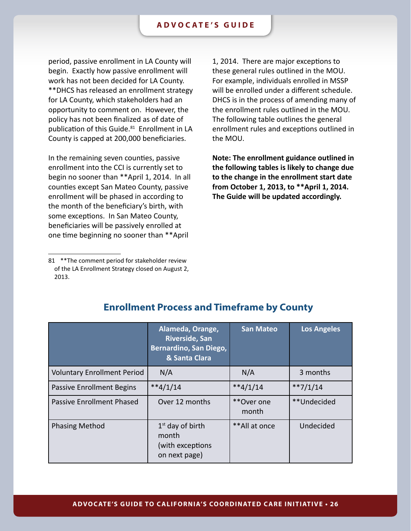<span id="page-25-0"></span>period, passive enrollment in LA County will begin. Exactly how passive enrollment will work has not been decided for LA County. \*\*DHCS has released an enrollment strategy for LA County, which stakeholders had an opportunity to comment on. However, the policy has not been finalized as of date of publication of this Guide.<sup>81</sup> Enrollment in LA County is capped at 200,000 beneficiaries.

In the remaining seven counties, passive enrollment into the CCI is currently set to begin no sooner than \*\*April 1, 2014. In all counties except San Mateo County, passive enrollment will be phased in according to the month of the beneficiary's birth, with some exceptions. In San Mateo County, beneficiaries will be passively enrolled at one time beginning no sooner than \*\*April

1, 2014. There are major exceptions to these general rules outlined in the MOU. For example, individuals enrolled in MSSP will be enrolled under a different schedule. DHCS is in the process of amending many of the enrollment rules outlined in the MOU. The following table outlines the general enrollment rules and exceptions outlined in the MOU.

**Note: The enrollment guidance outlined in the following tables is likely to change due to the change in the enrollment start date from October 1, 2013, to \*\*April 1, 2014. The Guide will be updated accordingly.** 

|                                    | Alameda, Orange,<br><b>Riverside, San</b><br>Bernardino, San Diego,<br>& Santa Clara | <b>San Mateo</b>    | <b>Los Angeles</b> |
|------------------------------------|--------------------------------------------------------------------------------------|---------------------|--------------------|
| <b>Voluntary Enrollment Period</b> | N/A                                                                                  | N/A                 | 3 months           |
| <b>Passive Enrollment Begins</b>   | $**4/1/14$                                                                           | $**4/1/14$          | $**7/1/14$         |
| Passive Enrollment Phased          | Over 12 months                                                                       | **Over one<br>month | **Undecided        |
| <b>Phasing Method</b>              | $1st$ day of birth<br>month<br>(with exceptions<br>on next page)                     | **All at once       | Undecided          |

### **Enrollment Process and Timeframe by County**

<sup>81</sup> \*\*The comment period for stakeholder review of the LA Enrollment Strategy closed on August 2, 2013.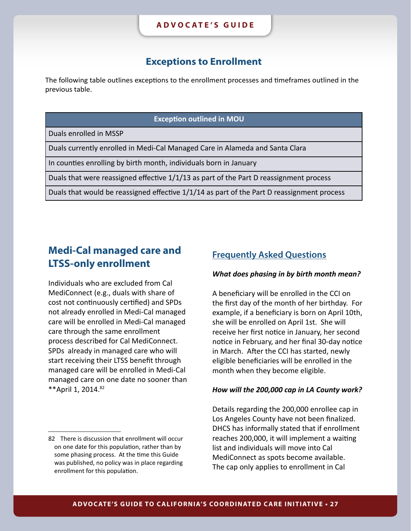### **Exceptions to Enrollment**

<span id="page-26-0"></span>The following table outlines exceptions to the enrollment processes and timeframes outlined in the previous table.

#### **Exception outlined in MOU**

Duals enrolled in MSSP

Duals currently enrolled in Medi-Cal Managed Care in Alameda and Santa Clara

In counties enrolling by birth month, individuals born in January

Duals that were reassigned effective 1/1/13 as part of the Part D reassignment process

Duals that would be reassigned effective 1/1/14 as part of the Part D reassignment process

## **Medi-Cal managed care and LTSS-only enrollment**

Individuals who are excluded from Cal MediConnect (e.g., duals with share of cost not continuously certified) and SPDs not already enrolled in Medi-Cal managed care will be enrolled in Medi-Cal managed care through the same enrollment process described for Cal MediConnect. SPDs already in managed care who will start receiving their LTSS benefit through managed care will be enrolled in Medi-Cal managed care on one date no sooner than \*\* April 1, 2014.<sup>82</sup>

### **Frequently Asked Questions**

#### *What does phasing in by birth month mean?*

A beneficiary will be enrolled in the CCI on the first day of the month of her birthday. For example, if a beneficiary is born on April 10th, she will be enrolled on April 1st. She will receive her first notice in January, her second notice in February, and her final 30-day notice in March. After the CCI has started, newly eligible beneficiaries will be enrolled in the month when they become eligible.

#### *How will the 200,000 cap in LA County work?*

Details regarding the 200,000 enrollee cap in Los Angeles County have not been finalized. DHCS has informally stated that if enrollment reaches 200,000, it will implement a waiting list and individuals will move into Cal MediConnect as spots become available. The cap only applies to enrollment in Cal

<sup>82</sup> There is discussion that enrollment will occur on one date for this population, rather than by some phasing process. At the time this Guide was published, no policy was in place regarding enrollment for this population.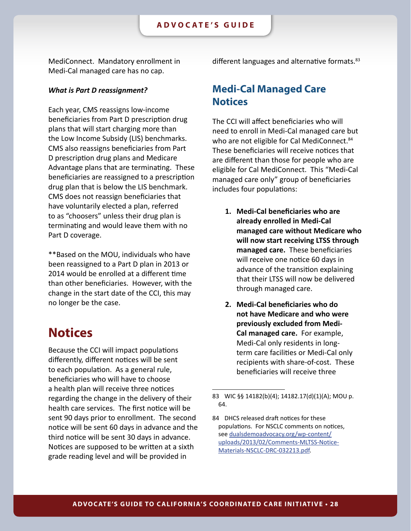<span id="page-27-0"></span>MediConnect. Mandatory enrollment in Medi-Cal managed care has no cap.

#### *What is Part D reassignment?*

Each year, CMS reassigns low-income beneficiaries from Part D prescription drug plans that will start charging more than the Low Income Subsidy (LIS) benchmarks. CMS also reassigns beneficiaries from Part D prescription drug plans and Medicare Advantage plans that are terminating. These beneficiaries are reassigned to a prescription drug plan that is below the LIS benchmark. CMS does not reassign beneficiaries that have voluntarily elected a plan, referred to as "choosers" unless their drug plan is terminating and would leave them with no Part D coverage.

\*\*Based on the MOU, individuals who have been reassigned to a Part D plan in 2013 or 2014 would be enrolled at a different time than other beneficiaries. However, with the change in the start date of the CCI, this may no longer be the case.

## **Notices**

Because the CCI will impact populations differently, different notices will be sent to each population. As a general rule, beneficiaries who will have to choose a health plan will receive three notices regarding the change in the delivery of their health care services. The first notice will be sent 90 days prior to enrollment. The second notice will be sent 60 days in advance and the third notice will be sent 30 days in advance. Notices are supposed to be written at a sixth grade reading level and will be provided in

different languages and alternative formats.<sup>83</sup>

### **Medi-Cal Managed Care Notices**

The CCI will affect beneficiaries who will need to enroll in Medi-Cal managed care but who are not eligible for Cal MediConnect.<sup>84</sup> These beneficiaries will receive notices that are different than those for people who are eligible for Cal MediConnect. This "Medi-Cal managed care only" group of beneficiaries includes four populations:

- **1. Medi-Cal beneficiaries who are already enrolled in Medi-Cal managed care without Medicare who will now start receiving LTSS through managed care.** These beneficiaries will receive one notice 60 days in advance of the transition explaining that their LTSS will now be delivered through managed care.
- **2. Medi-Cal beneficiaries who do not have Medicare and who were previously excluded from Medi-Cal managed care.** For example, Medi-Cal only residents in longterm care facilities or Medi-Cal only recipients with share-of-cost. These beneficiaries will receive three

<sup>83</sup> WIC §§ 14182(b)(4); 14182.17(d)(1)(A); MOU p. 64.

<sup>84</sup> DHCS released draft notices for these populations. For NSCLC comments on notices, see [dualsdemoadvocacy.org/wp-content/](http://dualsdemoadvocacy.org/wp-content/uploads/2013/02/Comments-MLTSS-Notice-Materials-NSCLC-DRC-032213.pdf) [uploads/2013/02/Comments-MLTSS-Notice-](http://dualsdemoadvocacy.org/wp-content/uploads/2013/02/Comments-MLTSS-Notice-Materials-NSCLC-DRC-032213.pdf)[Materials-NSCLC-DRC-032213.pdf](http://dualsdemoadvocacy.org/wp-content/uploads/2013/02/Comments-MLTSS-Notice-Materials-NSCLC-DRC-032213.pdf).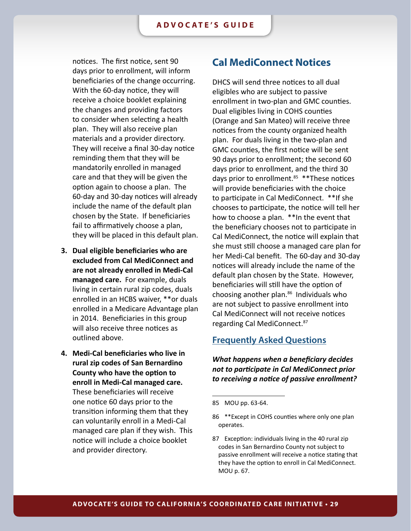<span id="page-28-0"></span>notices. The first notice, sent 90 days prior to enrollment, will inform beneficiaries of the change occurring. With the 60-day notice, they will receive a choice booklet explaining the changes and providing factors to consider when selecting a health plan. They will also receive plan materials and a provider directory. They will receive a final 30-day notice reminding them that they will be mandatorily enrolled in managed care and that they will be given the option again to choose a plan. The 60-day and 30-day notices will already include the name of the default plan chosen by the State. If beneficiaries fail to affirmatively choose a plan, they will be placed in this default plan.

- **3. Dual eligible beneficiaries who are excluded from Cal MediConnect and are not already enrolled in Medi-Cal managed care.** For example, duals living in certain rural zip codes, duals enrolled in an HCBS waiver, \*\*or duals enrolled in a Medicare Advantage plan in 2014. Beneficiaries in this group will also receive three notices as outlined above.
- **4. Medi-Cal beneficiaries who live in rural zip codes of San Bernardino County who have the option to enroll in Medi-Cal managed care.**  These beneficiaries will receive one notice 60 days prior to the transition informing them that they can voluntarily enroll in a Medi-Cal managed care plan if they wish. This notice will include a choice booklet and provider directory.

### **Cal MediConnect Notices**

DHCS will send three notices to all dual eligibles who are subject to passive enrollment in two-plan and GMC counties. Dual eligibles living in COHS counties (Orange and San Mateo) will receive three notices from the county organized health plan. For duals living in the two-plan and GMC counties, the first notice will be sent 90 days prior to enrollment; the second 60 days prior to enrollment, and the third 30 days prior to enrollment.<sup>85</sup> \*\* These notices will provide beneficiaries with the choice to participate in Cal MediConnect. \*\*If she chooses to participate, the notice will tell her how to choose a plan. \*\*In the event that the beneficiary chooses not to participate in Cal MediConnect, the notice will explain that she must still choose a managed care plan for her Medi-Cal benefit. The 60-day and 30-day notices will already include the name of the default plan chosen by the State. However, beneficiaries will still have the option of choosing another plan.<sup>86</sup> Individuals who are not subject to passive enrollment into Cal MediConnect will not receive notices regarding Cal MediConnect.87

### **Frequently Asked Questions**

*What happens when a beneficiary decides not to participate in Cal MediConnect prior to receiving a notice of passive enrollment?*

<sup>85</sup> MOU pp. 63-64.

<sup>86</sup> \*\*Except in COHS counties where only one plan operates.

<sup>87</sup> Exception: individuals living in the 40 rural zip codes in San Bernardino County not subject to passive enrollment will receive a notice stating that they have the option to enroll in Cal MediConnect. MOU p. 67.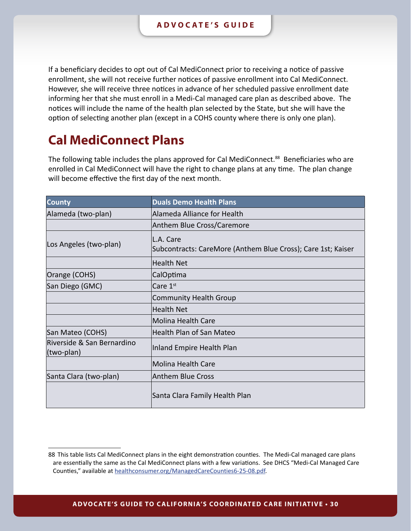<span id="page-29-0"></span>If a beneficiary decides to opt out of Cal MediConnect prior to receiving a notice of passive enrollment, she will not receive further notices of passive enrollment into Cal MediConnect. However, she will receive three notices in advance of her scheduled passive enrollment date informing her that she must enroll in a Medi-Cal managed care plan as described above. The notices will include the name of the health plan selected by the State, but she will have the option of selecting another plan (except in a COHS county where there is only one plan).

## **Cal MediConnect Plans**

The following table includes the plans approved for Cal MediConnect.<sup>88</sup> Beneficiaries who are enrolled in Cal MediConnect will have the right to change plans at any time. The plan change will become effective the first day of the next month.

| <b>County</b>                            | <b>Duals Demo Health Plans</b>                                             |
|------------------------------------------|----------------------------------------------------------------------------|
| Alameda (two-plan)                       | Alameda Alliance for Health                                                |
|                                          | Anthem Blue Cross/Caremore                                                 |
| Los Angeles (two-plan)                   | lL.A. Care<br>Subcontracts: CareMore (Anthem Blue Cross); Care 1st; Kaiser |
|                                          | <b>Health Net</b>                                                          |
| Orange (COHS)                            | CalOptima                                                                  |
| San Diego (GMC)                          | Care $1st$                                                                 |
|                                          | Community Health Group                                                     |
|                                          | Health Net                                                                 |
|                                          | Molina Health Care                                                         |
| San Mateo (COHS)                         | Health Plan of San Mateo                                                   |
| Riverside & San Bernardino<br>(two-plan) | Inland Empire Health Plan                                                  |
|                                          | Molina Health Care                                                         |
| Santa Clara (two-plan)                   | Anthem Blue Cross                                                          |
|                                          | Santa Clara Family Health Plan                                             |

<sup>88</sup> This table lists Cal MediConnect plans in the eight demonstration counties. The Medi-Cal managed care plans are essentially the same as the Cal MediConnect plans with a few variations. See DHCS "Medi-Cal Managed Care Counties," available at [healthconsumer.org/ManagedCareCounties6-25-08.pdf](http://healthconsumer.org/ManagedCareCounties6-25-08.pdf).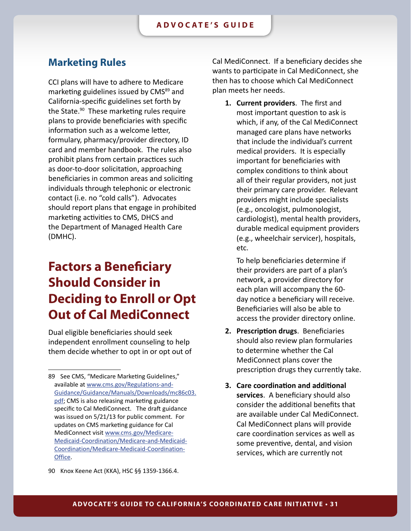### <span id="page-30-0"></span>**Marketing Rules**

CCI plans will have to adhere to Medicare marketing guidelines issued by CMS<sup>89</sup> and California-specific guidelines set forth by the State.<sup>90</sup> These marketing rules require plans to provide beneficiaries with specific information such as a welcome letter, formulary, pharmacy/provider directory, ID card and member handbook. The rules also prohibit plans from certain practices such as door-to-door solicitation, approaching beneficiaries in common areas and soliciting individuals through telephonic or electronic contact (i.e. no "cold calls"). Advocates should report plans that engage in prohibited marketing activities to CMS, DHCS and the Department of Managed Health Care (DMHC).

## **Factors a Beneficiary Should Consider in Deciding to Enroll or Opt Out of Cal MediConnect**

Dual eligible beneficiaries should seek independent enrollment counseling to help them decide whether to opt in or opt out of

90 Knox Keene Act (KKA), HSC §§ 1359-1366.4.

Cal MediConnect. If a beneficiary decides she wants to participate in Cal MediConnect, she then has to choose which Cal MediConnect plan meets her needs.

**1. Current providers**. The first and most important question to ask is which, if any, of the Cal MediConnect managed care plans have networks that include the individual's current medical providers. It is especially important for beneficiaries with complex conditions to think about all of their regular providers, not just their primary care provider. Relevant providers might include specialists (e.g., oncologist, pulmonologist, cardiologist), mental health providers, durable medical equipment providers (e.g., wheelchair servicer), hospitals, etc.

To help beneficiaries determine if their providers are part of a plan's network, a provider directory for each plan will accompany the 60 day notice a beneficiary will receive. Beneficiaries will also be able to access the provider directory online.

- **2. Prescription drugs**. Beneficiaries should also review plan formularies to determine whether the Cal MediConnect plans cover the prescription drugs they currently take.
- **3. Care coordination and additional services**. A beneficiary should also consider the additional benefits that are available under Cal MediConnect. Cal MediConnect plans will provide care coordination services as well as some preventive, dental, and vision services, which are currently not

<sup>89</sup> See CMS, "Medicare Marketing Guidelines," available at [www.cms.gov/Regulations-and-](www.cms.gov/Regulations-and-Guidance/Guidance/Manuals/Downloads/mc86c03.pdf)[Guidance/Guidance/Manuals/Downloads/mc86c03.](www.cms.gov/Regulations-and-Guidance/Guidance/Manuals/Downloads/mc86c03.pdf) [pdf](www.cms.gov/Regulations-and-Guidance/Guidance/Manuals/Downloads/mc86c03.pdf); CMS is also releasing marketing guidance specific to Cal MediConnect. The draft guidance was issued on 5/21/13 for public comment. For updates on CMS marketing guidance for Cal MediConnect visit [www.cms.gov/Medicare-](www.cms.gov/Medicare-Medicaid-Coordination/Medicare-and-Medicaid-Coordination/Medicare-Medicaid-Coordination-Office/FinancialModelstoSupportStatesEffortsinCareCoordination.html)[Medicaid-Coordination/Medicare-and-Medicaid-](www.cms.gov/Medicare-Medicaid-Coordination/Medicare-and-Medicaid-Coordination/Medicare-Medicaid-Coordination-Office/FinancialModelstoSupportStatesEffortsinCareCoordination.html)[Coordination/Medicare-Medicaid-Coordination-](www.cms.gov/Medicare-Medicaid-Coordination/Medicare-and-Medicaid-Coordination/Medicare-Medicaid-Coordination-Office/FinancialModelstoSupportStatesEffortsinCareCoordination.html)[Office](www.cms.gov/Medicare-Medicaid-Coordination/Medicare-and-Medicaid-Coordination/Medicare-Medicaid-Coordination-Office/FinancialModelstoSupportStatesEffortsinCareCoordination.html).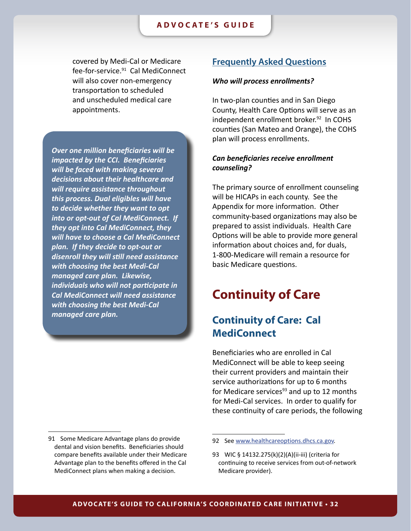<span id="page-31-0"></span>covered by Medi-Cal or Medicare fee-for-service.<sup>91</sup> Cal MediConnect will also cover non-emergency transportation to scheduled and unscheduled medical care appointments.

*Over one million beneficiaries will be impacted by the CCI. Beneficiaries will be faced with making several decisions about their healthcare and will require assistance throughout this process. Dual eligibles will have to decide whether they want to opt into or opt-out of Cal MediConnect. If they opt into Cal MediConnect, they will have to choose a Cal MediConnect plan. If they decide to opt-out or disenroll they will still need assistance with choosing the best Medi-Cal managed care plan. Likewise, individuals who will not participate in Cal MediConnect will need assistance with choosing the best Medi-Cal managed care plan.*

#### 91 Some Medicare Advantage plans do provide dental and vision benefits. Beneficiaries should compare benefits available under their Medicare Advantage plan to the benefits offered in the Cal MediConnect plans when making a decision.

### **Frequently Asked Questions**

#### *Who will process enrollments?*

In two-plan counties and in San Diego County, Health Care Options will serve as an independent enrollment broker.<sup>92</sup> In COHS counties (San Mateo and Orange), the COHS plan will process enrollments.

### *Can beneficiaries receive enrollment counseling?*

The primary source of enrollment counseling will be HICAPs in each county. See the Appendix for more information. Other community-based organizations may also be prepared to assist individuals. Health Care Options will be able to provide more general information about choices and, for duals, 1-800-Medicare will remain a resource for basic Medicare questions.

## **Continuity of Care**

### **Continuity of Care: Cal MediConnect**

Beneficiaries who are enrolled in Cal MediConnect will be able to keep seeing their current providers and maintain their service authorizations for up to 6 months for Medicare services $93$  and up to 12 months for Medi-Cal services. In order to qualify for these continuity of care periods, the following

<sup>92</sup> See<www.healthcareoptions.dhcs.ca.gov>.

<sup>93</sup> WIC § 14132.275(k)(2)(A)(ii-iii) (criteria for continuing to receive services from out-of-network Medicare provider).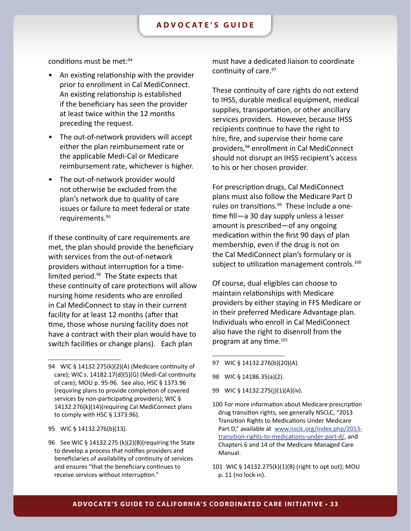conditions must be met: 94

- An existing relationship with the provider prior to enrollment in Cal MediConnect. An existing relationship is established if the beneficiary has seen the provider at least twice within the 12 months preceding the request.
- The out-of-network providers will accept either the plan reimbursement rate or the applicable Medi-Cal or Medicare reimbursement rate, whichever is higher.
- The out-of-network provider would not otherwise be excluded from the plan's network due to quality of care issues or failure to meet federal or state requirements.95

If these continuity of care requirements are met, the plan should provide the beneficiary with services from the out-of-network providers without interruption for a timelimited period.96 The State expects that these continuity of care protections will allow nursing home residents who are enrolled in Cal MediConnect to stay in their current facility for at least 12 months (after that time, those whose nursing facility does not have a contract with their plan would have to switch facilities or change plans). Each plan

- 95 WIC § 14132.276(b)(13).
- 96 See WIC § 14132.275 (k)(2)(B)(requiring the State to develop a process that notifies providers and beneficiaries of availability of continuity of services and ensures "that the beneficiary continues to receive services without interruption."

must have a dedicated liaison to coordinate continuity of care.<sup>97</sup>

These continuity of care rights do not extend to IHSS, durable medical equipment, medical supplies, transportation, or other ancillary services providers. However, because IHSS recipients continue to have the right to hire, fire, and supervise their home care providers,98 enrollment in Cal MediConnect should not disrupt an IHSS recipient's access to his or her chosen provider.

For prescription drugs, Cal MediConnect plans must also follow the Medicare Part D rules on transitions.<sup>99</sup> These include a onetime fill—a 30 day supply unless a lesser amount is prescribed—of any ongoing medication within the first 90 days of plan membership, even if the drug is not on the Cal MediConnect plan's formulary or is subject to utilization management controls.<sup>100</sup>

Of course, dual eligibles can choose to maintain relationships with Medicare providers by either staying in FFS Medicare or in their preferred Medicare Advantage plan. Individuals who enroll in Cal MediConnect also have the right to disenroll from the program at any time.101

- 97 WIC § 14132.276(b)(20)(A).
- 98 WIC § 14186.35(a)(2).
- 99 WIC § 14132.275(j)(1)(A)(iv).
- 100 For more information about Medicare prescription drug transition rights, see generally NSCLC, "2013 Transition Rights to Medications Under Medicare Part D," available at [www.nsclc.org/index.php/2013](www.nsclc.org/index.php/2013-transition-rights-to-medications-under-part-d/) [transition-rights-to-medications-under-part-d/](www.nsclc.org/index.php/2013-transition-rights-to-medications-under-part-d/), and Chapters 6 and 14 of the Medicare Managed Care Manual.
- 101 WIC § 14132.275(k)(1)(B) (right to opt out); MOU p. 11 (no lock-in).

<sup>94</sup> WIC § 14132.275(k)(2)(A) (Medicare continuity of care); WIC s. 14182.17(d)(5)(G) (Medi-Cal continuity of care); MOU p. 95-96. See also, HSC § 1373.96 (requiring plans to provide completion of covered services by non-participating providers); WIC § 14132.276(k)(14)(requiring Cal MediConnect plans to comply with HSC § 1373.96).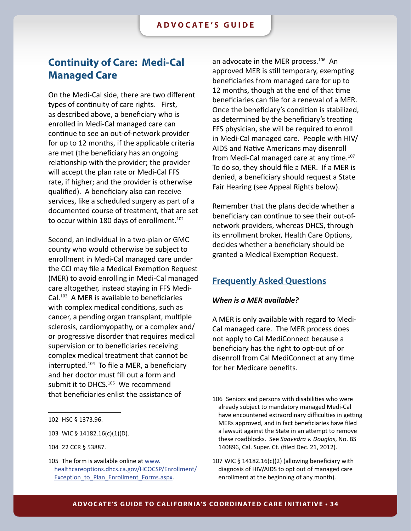## <span id="page-33-0"></span>**Continuity of Care: Medi-Cal Managed Care**

On the Medi-Cal side, there are two different types of continuity of care rights. First, as described above, a beneficiary who is enrolled in Medi-Cal managed care can continue to see an out-of-network provider for up to 12 months, if the applicable criteria are met (the beneficiary has an ongoing relationship with the provider; the provider will accept the plan rate or Medi-Cal FFS rate, if higher; and the provider is otherwise qualified). A beneficiary also can receive services, like a scheduled surgery as part of a documented course of treatment, that are set to occur within 180 days of enrollment.<sup>102</sup>

Second, an individual in a two-plan or GMC county who would otherwise be subject to enrollment in Medi-Cal managed care under the CCI may file a Medical Exemption Request (MER) to avoid enrolling in Medi-Cal managed care altogether, instead staying in FFS Medi-Cal.103 A MER is available to beneficiaries with complex medical conditions, such as cancer, a pending organ transplant, multiple sclerosis, cardiomyopathy, or a complex and/ or progressive disorder that requires medical supervision or to beneficiaries receiving complex medical treatment that cannot be interrupted.104 To file a MER, a beneficiary and her doctor must fill out a form and submit it to DHCS.<sup>105</sup> We recommend that beneficiaries enlist the assistance of

103 WIC § 14182.16(c)(1)(D).

an advocate in the MER process.106 An approved MER is still temporary, exempting beneficiaries from managed care for up to 12 months, though at the end of that time beneficiaries can file for a renewal of a MER. Once the beneficiary's condition is stabilized, as determined by the beneficiary's treating FFS physician, she will be required to enroll in Medi-Cal managed care. People with HIV/ AIDS and Native Americans may disenroll from Medi-Cal managed care at any time.<sup>107</sup> To do so, they should file a MER. If a MER is denied, a beneficiary should request a State Fair Hearing (see Appeal Rights below).

Remember that the plans decide whether a beneficiary can continue to see their out-ofnetwork providers, whereas DHCS, through its enrollment broker, Health Care Options, decides whether a beneficiary should be granted a Medical Exemption Request.

### **Frequently Asked Questions**

#### *When is a MER available?*

A MER is only available with regard to Medi-Cal managed care. The MER process does not apply to Cal MediConnect because a beneficiary has the right to opt-out of or disenroll from Cal MediConnect at any time for her Medicare benefits.

<sup>102</sup> HSC § 1373.96.

<sup>104 22</sup> CCR § 53887.

<sup>105</sup> The form is available online at [www.](www.healthcareoptions.dhcs.ca.gov/HCOCSP/Enrollment/Exception_to_Plan_Enrollment_Forms.aspx) [healthcareoptions.dhcs.ca.gov/HCOCSP/Enrollment/](www.healthcareoptions.dhcs.ca.gov/HCOCSP/Enrollment/Exception_to_Plan_Enrollment_Forms.aspx) [Exception\\_to\\_Plan\\_Enrollment\\_Forms.aspx](www.healthcareoptions.dhcs.ca.gov/HCOCSP/Enrollment/Exception_to_Plan_Enrollment_Forms.aspx).

<sup>106</sup> Seniors and persons with disabilities who were already subject to mandatory managed Medi-Cal have encountered extraordinary difficulties in getting MERs approved, and in fact beneficiaries have filed a lawsuit against the State in an attempt to remove these roadblocks. See *Saavedra v. Douglas*, No. BS 140896, Cal. Super. Ct. (filed Dec. 21, 2012).

<sup>107</sup> WIC § 14182.16(c)(2) (allowing beneficiary with diagnosis of HIV/AIDS to opt out of managed care enrollment at the beginning of any month).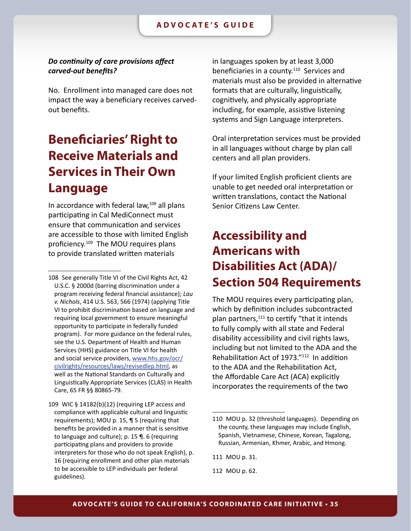### <span id="page-34-0"></span>*Do continuity of care provisions affect carved-out benefits?*

No. Enrollment into managed care does not impact the way a beneficiary receives carvedout benefits.

## **Beneficiaries' Right to Receive Materials and Services in Their Own Language**

In accordance with federal law,<sup>108</sup> all plans participating in Cal MediConnect must ensure that communication and services are accessible to those with limited English proficiency.109 The MOU requires plans to provide translated written materials

in languages spoken by at least 3,000 beneficiaries in a county.<sup>110</sup> Services and materials must also be provided in alternative formats that are culturally, linguistically, cognitively, and physically appropriate including, for example, assistive listening systems and Sign Language interpreters.

Oral interpretation services must be provided in all languages without charge by plan call centers and all plan providers.

If your limited English proficient clients are unable to get needed oral interpretation or written translations, contact the National Senior Citizens Law Center.

## **Accessibility and Americans with Disabilities Act (ADA)/ Section 504 Requirements**

The MOU requires every participating plan, which by definition includes subcontracted plan partners,111 to certify "that it intends to fully comply with all state and Federal disability accessibility and civil rights laws, including but not limited to the ADA and the Rehabilitation Act of 1973."112 In addition to the ADA and the Rehabilitation Act, the Affordable Care Act (ACA) explicitly incorporates the requirements of the two

111 MOU p. 31.

112 MOU p. 62.

<sup>108</sup> See generally Title VI of the Civil Rights Act, 42 U.S.C. § 2000d (barring discrimination under a program receiving federal financial assistance); *Lau v. Nichols*, 414 U.S. 563, 566 (1974) (applying Title VI to prohibit discrimination based on language and requiring local government to ensure meaningful opportunity to participate in federally funded program). For more guidance on the federal rules, see the U.S. Department of Health and Human Services (HHS) guidance on Title VI for health and social service providers, [www.hhs.gov/ocr/](www.hhs.gov/ocr/civilrights/resources/laws/revisedlep.html) [civilrights/resources/laws/revisedlep.html](www.hhs.gov/ocr/civilrights/resources/laws/revisedlep.html), as well as the National Standards on Culturally and Linguistically Appropriate Services (CLAS) in Health Care, 65 FR §§ 80865-79.

<sup>109</sup> WIC § 14182(b)(12) (requiring LEP access and compliance with applicable cultural and linguistic requirements); MOU p. 15, ¶ 5 (requiring that benefits be provided in a manner that is sensitive to language and culture); p. 15 ¶. 6 (requiring participating plans and providers to provide interpreters for those who do not speak English), p. 16 (requiring enrollment and other plan materials to be accessible to LEP individuals per federal guidelines).

<sup>110</sup> MOU p. 32 (threshold languages). Depending on the county, these languages may include English, Spanish, Vietnamese, Chinese, Korean, Tagalong, Russian, Armenian, Khmer, Arabic, and Hmong.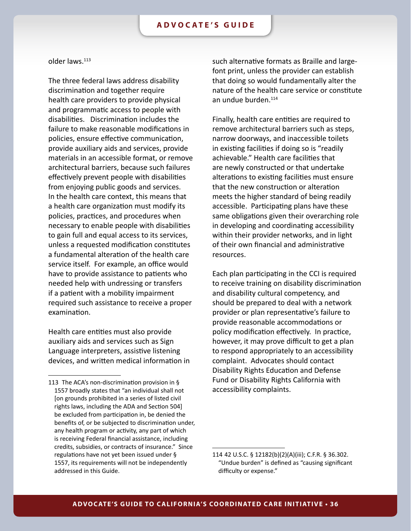#### older laws.113

The three federal laws address disability discrimination and together require health care providers to provide physical and programmatic access to people with disabilities. Discrimination includes the failure to make reasonable modifications in policies, ensure effective communication, provide auxiliary aids and services, provide materials in an accessible format, or remove architectural barriers, because such failures effectively prevent people with disabilities from enjoying public goods and services. In the health care context, this means that a health care organization must modify its policies, practices, and procedures when necessary to enable people with disabilities to gain full and equal access to its services, unless a requested modification constitutes a fundamental alteration of the health care service itself. For example, an office would have to provide assistance to patients who needed help with undressing or transfers if a patient with a mobility impairment required such assistance to receive a proper examination.

Health care entities must also provide auxiliary aids and services such as Sign Language interpreters, assistive listening devices, and written medical information in such alternative formats as Braille and largefont print, unless the provider can establish that doing so would fundamentally alter the nature of the health care service or constitute an undue burden.<sup>114</sup>

Finally, health care entities are required to remove architectural barriers such as steps, narrow doorways, and inaccessible toilets in existing facilities if doing so is "readily achievable." Health care facilities that are newly constructed or that undertake alterations to existing facilities must ensure that the new construction or alteration meets the higher standard of being readily accessible. Participating plans have these same obligations given their overarching role in developing and coordinating accessibility within their provider networks, and in light of their own financial and administrative resources.

Each plan participating in the CCI is required to receive training on disability discrimination and disability cultural competency, and should be prepared to deal with a network provider or plan representative's failure to provide reasonable accommodations or policy modification effectively. In practice, however, it may prove difficult to get a plan to respond appropriately to an accessibility complaint. Advocates should contact Disability Rights Education and Defense Fund or Disability Rights California with accessibility complaints.

<sup>113</sup> The ACA's non-discrimination provision in § 1557 broadly states that "an individual shall not [on grounds prohibited in a series of listed civil rights laws, including the ADA and Section 504] be excluded from participation in, be denied the benefits of, or be subjected to discrimination under, any health program or activity, any part of which is receiving Federal financial assistance, including credits, subsidies, or contracts of insurance." Since regulations have not yet been issued under § 1557, its requirements will not be independently addressed in this Guide.

<sup>114</sup> 42 U.S.C. § 12182(b)(2)(A)(iii); C.F.R. § 36.302. "Undue burden" is defined as "causing significant difficulty or expense."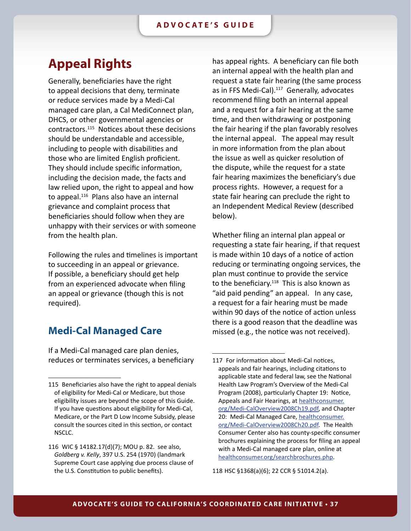## <span id="page-36-0"></span>**Appeal Rights**

Generally, beneficiaries have the right to appeal decisions that deny, terminate or reduce services made by a Medi-Cal managed care plan, a Cal MediConnect plan, DHCS, or other governmental agencies or contractors.115 Notices about these decisions should be understandable and accessible, including to people with disabilities and those who are limited English proficient. They should include specific information, including the decision made, the facts and law relied upon, the right to appeal and how to appeal.<sup>116</sup> Plans also have an internal grievance and complaint process that beneficiaries should follow when they are unhappy with their services or with someone from the health plan.

Following the rules and timelines is important to succeeding in an appeal or grievance. If possible, a beneficiary should get help from an experienced advocate when filing an appeal or grievance (though this is not required).

### **Medi-Cal Managed Care**

If a Medi-Cal managed care plan denies, reduces or terminates services, a beneficiary has appeal rights. A beneficiary can file both an internal appeal with the health plan and request a state fair hearing (the same process as in FFS Medi-Cal).<sup>117</sup> Generally, advocates recommend filing both an internal appeal and a request for a fair hearing at the same time, and then withdrawing or postponing the fair hearing if the plan favorably resolves the internal appeal. The appeal may result in more information from the plan about the issue as well as quicker resolution of the dispute, while the request for a state fair hearing maximizes the beneficiary's due process rights. However, a request for a state fair hearing can preclude the right to an Independent Medical Review (described below).

Whether filing an internal plan appeal or requesting a state fair hearing, if that request is made within 10 days of a notice of action reducing or terminating ongoing services, the plan must continue to provide the service to the beneficiary. $118$  This is also known as "aid paid pending" an appeal. In any case, a request for a fair hearing must be made within 90 days of the notice of action unless there is a good reason that the deadline was missed (e.g., the notice was not received).

118 HSC §1368(a)(6); 22 CCR § 51014.2(a).

<sup>115</sup> Beneficiaries also have the right to appeal denials of eligibility for Medi-Cal or Medicare, but those eligibility issues are beyond the scope of this Guide. If you have questions about eligibility for Medi-Cal, Medicare, or the Part D Low Income Subsidy, please consult the sources cited in this section, or contact NSCLC.

<sup>116</sup> WIC § 14182.17(d)(7); MOU p. 82. see also, *Goldberg v. Kelly*, 397 U.S. 254 (1970) (landmark Supreme Court case applying due process clause of the U.S. Constitution to public benefits).

<sup>117</sup> For information about Medi-Cal notices, appeals and fair hearings, including citations to applicable state and federal law, see the National Health Law Program's Overview of the Medi-Cal Program (2008), particularly Chapter 19: Notice, Appeals and Fair Hearings, at [healthconsumer.](http://healthconsumer.org/Medi-CalOverview2008Ch19.pdf) [org/Medi-CalOverview2008Ch19.pdf,](http://healthconsumer.org/Medi-CalOverview2008Ch19.pdf) and Chapter 20: Medi-Cal Managed Care, [healthconsumer.](http://healthconsumer.org/Medi-CalOverview2008Ch20.pdf) [org/Medi-CalOverview2008Ch20.pdf](http://healthconsumer.org/Medi-CalOverview2008Ch20.pdf). The Health Consumer Center also has county-specific consumer brochures explaining the process for filing an appeal with a Medi-Cal managed care plan, online at [healthconsumer.org/searchbrochures.php](http://healthconsumer.org/searchbrochures.php).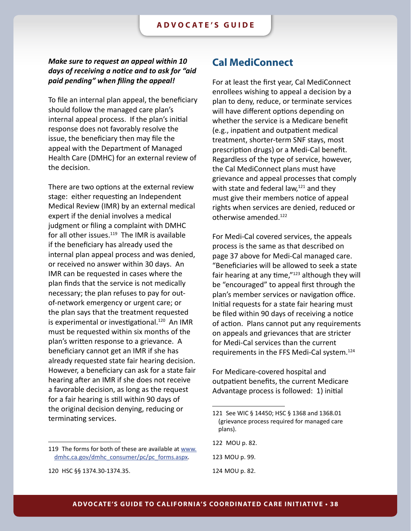### <span id="page-37-0"></span>*Make sure to request an appeal within 10 days of receiving a notice and to ask for "aid paid pending" when filing the appeal!*

To file an internal plan appeal, the beneficiary should follow the managed care plan's internal appeal process. If the plan's initial response does not favorably resolve the issue, the beneficiary then may file the appeal with the Department of Managed Health Care (DMHC) for an external review of the decision.

There are two options at the external review stage: either requesting an Independent Medical Review (IMR) by an external medical expert if the denial involves a medical judgment or filing a complaint with DMHC for all other issues. $119$  The IMR is available if the beneficiary has already used the internal plan appeal process and was denied, or received no answer within 30 days. An IMR can be requested in cases where the plan finds that the service is not medically necessary; the plan refuses to pay for outof-network emergency or urgent care; or the plan says that the treatment requested is experimental or investigational.<sup>120</sup> An IMR must be requested within six months of the plan's written response to a grievance. A beneficiary cannot get an IMR if she has already requested state fair hearing decision. However, a beneficiary can ask for a state fair hearing after an IMR if she does not receive a favorable decision, as long as the request for a fair hearing is still within 90 days of the original decision denying, reducing or terminating services.

### **Cal MediConnect**

For at least the first year, Cal MediConnect enrollees wishing to appeal a decision by a plan to deny, reduce, or terminate services will have different options depending on whether the service is a Medicare benefit (e.g., inpatient and outpatient medical treatment, shorter-term SNF stays, most prescription drugs) or a Medi-Cal benefit. Regardless of the type of service, however, the Cal MediConnect plans must have grievance and appeal processes that comply with state and federal law, $121$  and they must give their members notice of appeal rights when services are denied, reduced or otherwise amended.122

For Medi-Cal covered services, the appeals process is the same as that described on page 37 above for Medi-Cal managed care. "Beneficiaries will be allowed to seek a state fair hearing at any time,"123 although they will be "encouraged" to appeal first through the plan's member services or navigation office. Initial requests for a state fair hearing must be filed within 90 days of receiving a notice of action. Plans cannot put any requirements on appeals and grievances that are stricter for Medi-Cal services than the current requirements in the FFS Medi-Cal system.124

For Medicare-covered hospital and outpatient benefits, the current Medicare Advantage process is followed: 1) initial

123 MOU p. 99.

<sup>119</sup> The forms for both of these are available at [www.](www.dmhc.ca.gov/dmhc_consumer/pc/pc_forms.aspx) [dmhc.ca.gov/dmhc\\_consumer/pc/pc\\_forms.aspx.](www.dmhc.ca.gov/dmhc_consumer/pc/pc_forms.aspx)

<sup>120</sup> HSC §§ 1374.30-1374.35.

<sup>121</sup> See WIC § 14450; HSC § 1368 and 1368.01 (grievance process required for managed care plans).

<sup>122</sup> MOU p. 82.

<sup>124</sup> MOU p. 82.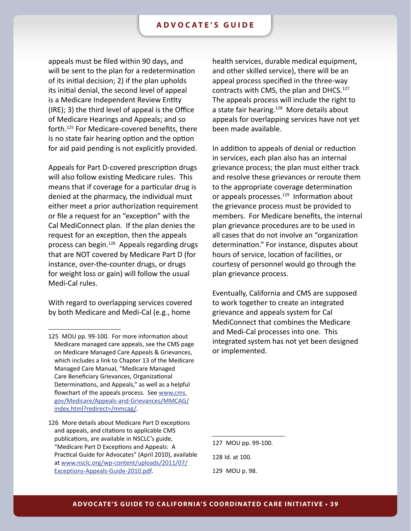appeals must be filed within 90 days, and will be sent to the plan for a redetermination of its initial decision; 2) if the plan upholds its initial denial, the second level of appeal is a Medicare Independent Review Entity (IRE); 3) the third level of appeal is the Office of Medicare Hearings and Appeals; and so forth.125 For Medicare-covered benefits, there is no state fair hearing option and the option for aid paid pending is not explicitly provided.

Appeals for Part D-covered prescription drugs will also follow existing Medicare rules. This means that if coverage for a particular drug is denied at the pharmacy, the individual must either meet a prior authorization requirement or file a request for an "exception" with the Cal MediConnect plan. If the plan denies the request for an exception, then the appeals process can begin.126 Appeals regarding drugs that are NOT covered by Medicare Part D (for instance, over-the-counter drugs, or drugs for weight loss or gain) will follow the usual Medi-Cal rules.

With regard to overlapping services covered by both Medicare and Medi-Cal (e.g., home

health services, durable medical equipment, and other skilled service), there will be an appeal process specified in the three-way contracts with CMS, the plan and DHCS.<sup>127</sup> The appeals process will include the right to a state fair hearing.<sup>128</sup> More details about appeals for overlapping services have not yet been made available.

In addition to appeals of denial or reduction in services, each plan also has an internal grievance process; the plan must either track and resolve these grievances or reroute them to the appropriate coverage determination or appeals processes.<sup>129</sup> Information about the grievance process must be provided to members. For Medicare benefits, the internal plan grievance procedures are to be used in all cases that do not involve an "organization determination." For instance, disputes about hours of service, location of facilities, or courtesy of personnel would go through the plan grievance process.

Eventually, California and CMS are supposed to work together to create an integrated grievance and appeals system for Cal MediConnect that combines the Medicare and Medi-Cal processes into one. This integrated system has not yet been designed or implemented.

<sup>125</sup> MOU pp. 99-100. For more information about Medicare managed care appeals, see the CMS page on Medicare Managed Care Appeals & Grievances, which includes a link to Chapter 13 of the Medicare Managed Care Manual, "Medicare Managed Care Beneficiary Grievances, Organizational Determinations, and Appeals," as well as a helpful flowchart of the appeals process. See [www.cms.](www.cms.gov/Medicare/Appeals-and-Grievances/MMCAG/index.html?redirect=/mmcag/) [gov/Medicare/Appeals-and-Grievances/MMCAG/](www.cms.gov/Medicare/Appeals-and-Grievances/MMCAG/index.html?redirect=/mmcag/) [index.html?redirect=/mmcag/](www.cms.gov/Medicare/Appeals-and-Grievances/MMCAG/index.html?redirect=/mmcag/).

<sup>126</sup> More details about Medicare Part D exceptions and appeals, and citations to applicable CMS publications, are available in NSCLC's guide, "Medicare Part D Exceptions and Appeals: A Practical Guide for Advocates" (April 2010), available at [www.nsclc.org/wp-content/uploads/2011/07/](www.nsclc.org/wp-content/uploads/2011/07/Exceptions-Appeals-Guide-2010.pdf) [Exceptions-Appeals-Guide-2010.pdf.](www.nsclc.org/wp-content/uploads/2011/07/Exceptions-Appeals-Guide-2010.pdf)

<sup>127</sup> MOU pp. 99-100.

<sup>128</sup> Id. at 100.

<sup>129</sup> MOU p. 98.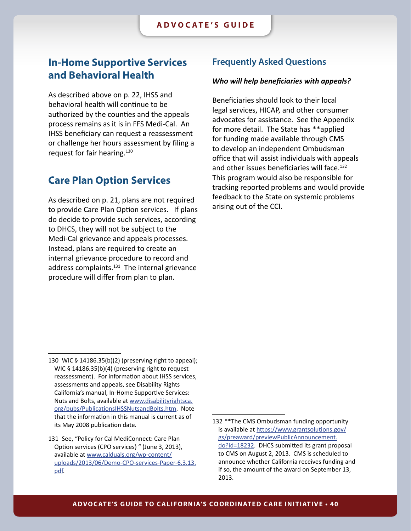### <span id="page-39-0"></span>**In-Home Supportive Services and Behavioral Health**

As described above on p. 22, IHSS and behavioral health will continue to be authorized by the counties and the appeals process remains as it is in FFS Medi-Cal. An IHSS beneficiary can request a reassessment or challenge her hours assessment by filing a request for fair hearing.130

### **Care Plan Option Services**

As described on p. 21, plans are not required to provide Care Plan Option services. If plans do decide to provide such services, according to DHCS, they will not be subject to the Medi-Cal grievance and appeals processes. Instead, plans are required to create an internal grievance procedure to record and address complaints.<sup>131</sup> The internal grievance procedure will differ from plan to plan.

### **Frequently Asked Questions**

#### *Who will help beneficiaries with appeals?*

Beneficiaries should look to their local legal services, HICAP, and other consumer advocates for assistance. See the Appendix for more detail. The State has \*\*applied for funding made available through CMS to develop an independent Ombudsman office that will assist individuals with appeals and other issues beneficiaries will face.<sup>132</sup> This program would also be responsible for tracking reported problems and would provide feedback to the State on systemic problems arising out of the CCI.

<sup>130</sup> WIC § 14186.35(b)(2) (preserving right to appeal); WIC § 14186.35(b)(4) (preserving right to request reassessment). For information about IHSS services, assessments and appeals, see Disability Rights California's manual, In-Home Supportive Services: Nuts and Bolts, available at [www.disabilityrightsca.](www.disabilityrightsca.org/pubs/PublicationsIHSSNutsandBolts.htm) [org/pubs/PublicationsIHSSNutsandBolts.htm.](www.disabilityrightsca.org/pubs/PublicationsIHSSNutsandBolts.htm) Note that the information in this manual is current as of its May 2008 publication date.

<sup>131</sup> See, "Policy for Cal MediConnect: Care Plan Option services (CPO services) " (June 3, 2013), available at [www.calduals.org/wp-content/](www.calduals.org/wp-content/uploads/2013/06/Demo-CPO-services-Paper-6.3.13.pdf) [uploads/2013/06/Demo-CPO-services-Paper-6.3.13.](www.calduals.org/wp-content/uploads/2013/06/Demo-CPO-services-Paper-6.3.13.pdf) [pdf](www.calduals.org/wp-content/uploads/2013/06/Demo-CPO-services-Paper-6.3.13.pdf).

<sup>132</sup> \*\*The CMS Ombudsman funding opportunity is available at [https://www.grantsolutions.gov/](https://www.grantsolutions.gov/gs/preaward/previewPublicAnnouncement.do?id=18232) [gs/preaward/previewPublicAnnouncement.](https://www.grantsolutions.gov/gs/preaward/previewPublicAnnouncement.do?id=18232) [do?id=18232.](https://www.grantsolutions.gov/gs/preaward/previewPublicAnnouncement.do?id=18232) DHCS submitted its grant proposal to CMS on August 2, 2013. CMS is scheduled to announce whether California receives funding and if so, the amount of the award on September 13, 2013.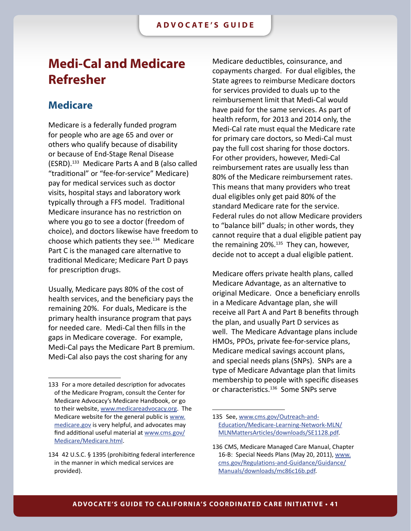## <span id="page-40-0"></span>**Medi-Cal and Medicare Refresher**

### **Medicare**

Medicare is a federally funded program for people who are age 65 and over or others who qualify because of disability or because of End-Stage Renal Disease (ESRD).133 Medicare Parts A and B (also called "traditional" or "fee-for-service" Medicare) pay for medical services such as doctor visits, hospital stays and laboratory work typically through a FFS model. Traditional Medicare insurance has no restriction on where you go to see a doctor (freedom of choice), and doctors likewise have freedom to choose which patients they see. $^{134}$  Medicare Part C is the managed care alternative to traditional Medicare; Medicare Part D pays for prescription drugs.

Usually, Medicare pays 80% of the cost of health services, and the beneficiary pays the remaining 20%. For duals, Medicare is the primary health insurance program that pays for needed care. Medi-Cal then fills in the gaps in Medicare coverage. For example, Medi-Cal pays the Medicare Part B premium. Medi-Cal also pays the cost sharing for any

Medicare deductibles, coinsurance, and copayments charged. For dual eligibles, the State agrees to reimburse Medicare doctors for services provided to duals up to the reimbursement limit that Medi-Cal would have paid for the same services. As part of health reform, for 2013 and 2014 only, the Medi-Cal rate must equal the Medicare rate for primary care doctors, so Medi-Cal must pay the full cost sharing for those doctors. For other providers, however, Medi-Cal reimbursement rates are usually less than 80% of the Medicare reimbursement rates. This means that many providers who treat dual eligibles only get paid 80% of the standard Medicare rate for the service. Federal rules do not allow Medicare providers to "balance bill" duals; in other words, they cannot require that a dual eligible patient pay the remaining  $20\%$ <sup>135</sup> They can, however, decide not to accept a dual eligible patient.

Medicare offers private health plans, called Medicare Advantage, as an alternative to original Medicare. Once a beneficiary enrolls in a Medicare Advantage plan, she will receive all Part A and Part B benefits through the plan, and usually Part D services as well. The Medicare Advantage plans include HMOs, PPOs, private fee-for-service plans, Medicare medical savings account plans, and special needs plans (SNPs). SNPs are a type of Medicare Advantage plan that limits membership to people with specific diseases or characteristics.<sup>136</sup> Some SNPs serve

<sup>133</sup> For a more detailed description for advocates of the Medicare Program, consult the Center for Medicare Advocacy's Medicare Handbook, or go to their website, [www.medicareadvocacy.org.](www.medicareadvocacy.org) The Medicare website for the general public is [www.](www.medicare.gov) [medicare.gov](www.medicare.gov) is very helpful, and advocates may find additional useful material at [www.cms.gov/](www.cms.gov/Medicare/Medicare.html) [Medicare/Medicare.html.](www.cms.gov/Medicare/Medicare.html)

<sup>134 42</sup> U.S.C. § 1395 (prohibiting federal interference in the manner in which medical services are provided).

<sup>135</sup> See, [www.cms.gov/Outreach-and-](www.cms.gov/Outreach-and-Education/Medicare-Learning-Network-MLN/MLNMattersArticles/downloads/SE1128.pdf)[Education/Medicare-Learning-Network-MLN/](www.cms.gov/Outreach-and-Education/Medicare-Learning-Network-MLN/MLNMattersArticles/downloads/SE1128.pdf) [MLNMattersArticles/downloads/SE1128.pdf](www.cms.gov/Outreach-and-Education/Medicare-Learning-Network-MLN/MLNMattersArticles/downloads/SE1128.pdf).

<sup>136</sup> CMS, Medicare Managed Care Manual, Chapter 16-B: Special Needs Plans (May 20, 2011), [www.](http://www.cms.gov/Regulations-and-Guidance/Guidance/Manuals/downloads/mc86c16b.pdf) [cms.gov/Regulations-and-Guidance/Guidance/](http://www.cms.gov/Regulations-and-Guidance/Guidance/Manuals/downloads/mc86c16b.pdf) [Manuals/downloads/mc86c16b.pdf.](http://www.cms.gov/Regulations-and-Guidance/Guidance/Manuals/downloads/mc86c16b.pdf)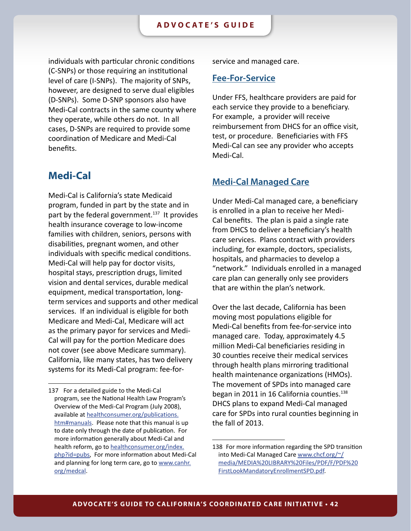<span id="page-41-0"></span>individuals with particular chronic conditions (C-SNPs) or those requiring an institutional level of care (I-SNPs). The majority of SNPs, however, are designed to serve dual eligibles (D-SNPs). Some D-SNP sponsors also have Medi-Cal contracts in the same county where they operate, while others do not. In all cases, D-SNPs are required to provide some coordination of Medicare and Medi-Cal benefits.

### **Medi-Cal**

Medi‐Cal is California's state Medicaid program, funded in part by the state and in part by the federal government.<sup>137</sup> It provides health insurance coverage to low-income families with children, seniors, persons with disabilities, pregnant women, and other individuals with specific medical conditions. Medi-Cal will help pay for doctor visits, hospital stays, prescription drugs, limited vision and dental services, durable medical equipment, medical transportation, longterm services and supports and other medical services. If an individual is eligible for both Medicare and Medi-Cal, Medicare will act as the primary payor for services and Medi-Cal will pay for the portion Medicare does not cover (see above Medicare summary). California, like many states, has two delivery systems for its Medi-Cal program: fee-forservice and managed care.

### **Fee-For-Service**

Under FFS, healthcare providers are paid for each service they provide to a beneficiary. For example, a provider will receive reimbursement from DHCS for an office visit, test, or procedure. Beneficiaries with FFS Medi-Cal can see any provider who accepts Medi-Cal.

### **Medi-Cal Managed Care**

Under Medi-Cal managed care, a beneficiary is enrolled in a plan to receive her Medi-Cal benefits. The plan is paid a single rate from DHCS to deliver a beneficiary's health care services. Plans contract with providers including, for example, doctors, specialists, hospitals, and pharmacies to develop a "network." Individuals enrolled in a managed care plan can generally only see providers that are within the plan's network.

Over the last decade, California has been moving most populations eligible for Medi-Cal benefits from fee-for-service into managed care. Today, approximately 4.5 million Medi-Cal beneficiaries residing in 30 counties receive their medical services through health plans mirroring traditional health maintenance organizations (HMOs). The movement of SPDs into managed care began in 2011 in 16 California counties.<sup>138</sup> DHCS plans to expand Medi-Cal managed care for SPDs into rural counties beginning in the fall of 2013.

<sup>137</sup> For a detailed guide to the Medi-Cal program, see the National Health Law Program's Overview of the Medi-Cal Program (July 2008), available at [healthconsumer.org/publications.](www.healthconsumer.org/publications.htm#manuals) [htm#manuals.](www.healthconsumer.org/publications.htm#manuals) Please note that this manual is up to date only through the date of publication. For more information generally about Medi-Cal and health reform, go to [healthconsumer.org/index.](http://healthconsumer.org/index.php?id=pubs) [php?id=pubs,](http://healthconsumer.org/index.php?id=pubs) For more information about Medi-Cal and planning for long term care, go to [www.canhr.](www.canhr.org/medcal) [org/medcal.](www.canhr.org/medcal)

<sup>138</sup> For more information regarding the SPD transition into Medi-Cal Managed Care [www.chcf.org/~/](www.chcf.org/~/media/MEDIA%20LIBRARY%20Files/PDF/F/PDF%20FirstLookMandatoryEnrollmentSPD.pdf) [media/MEDIA%20LIBRARY%20Files/PDF/F/PDF%20](www.chcf.org/~/media/MEDIA%20LIBRARY%20Files/PDF/F/PDF%20FirstLookMandatoryEnrollmentSPD.pdf) [FirstLookMandatoryEnrollmentSPD.pdf](www.chcf.org/~/media/MEDIA%20LIBRARY%20Files/PDF/F/PDF%20FirstLookMandatoryEnrollmentSPD.pdf).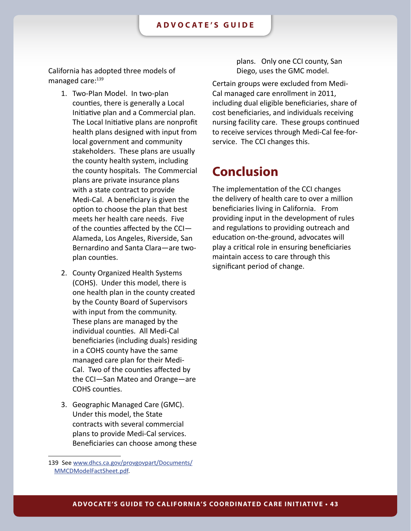<span id="page-42-0"></span>California has adopted three models of managed care:<sup>139</sup>

- 1. Two-Plan Model. In two-plan counties, there is generally a Local Initiative plan and a Commercial plan. The Local Initiative plans are nonprofit health plans designed with input from local government and community stakeholders. These plans are usually the county health system, including the county hospitals. The Commercial plans are private insurance plans with a state contract to provide Medi-Cal. A beneficiary is given the option to choose the plan that best meets her health care needs. Five of the counties affected by the CCI— Alameda, Los Angeles, Riverside, San Bernardino and Santa Clara—are twoplan counties.
- 2. County Organized Health Systems (COHS). Under this model, there is one health plan in the county created by the County Board of Supervisors with input from the community. These plans are managed by the individual counties. All Medi-Cal beneficiaries (including duals) residing in a COHS county have the same managed care plan for their Medi-Cal. Two of the counties affected by the CCI—San Mateo and Orange—are COHS counties.
- 3. Geographic Managed Care (GMC). Under this model, the State contracts with several commercial plans to provide Medi-Cal services. Beneficiaries can choose among these

plans. Only one CCI county, San Diego, uses the GMC model.

Certain groups were excluded from Medi-Cal managed care enrollment in 2011, including dual eligible beneficiaries, share of cost beneficiaries, and individuals receiving nursing facility care. These groups continued to receive services through Medi-Cal fee-forservice. The CCI changes this.

## **Conclusion**

The implementation of the CCI changes the delivery of health care to over a million beneficiaries living in California. From providing input in the development of rules and regulations to providing outreach and education on-the-ground, advocates will play a critical role in ensuring beneficiaries maintain access to care through this significant period of change.

<sup>139</sup> See [www.dhcs.ca.gov/provgovpart/Documents/](http://www.dhcs.ca.gov/provgovpart/Documents/MMCDModelFactSheet.pdf) [MMCDModelFactSheet.pdf](http://www.dhcs.ca.gov/provgovpart/Documents/MMCDModelFactSheet.pdf).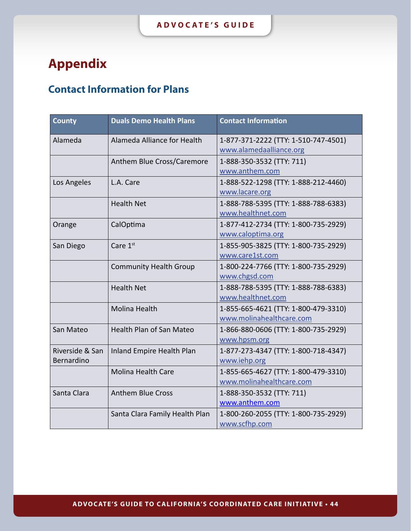## <span id="page-43-0"></span>**Appendix**

## **Contact Information for Plans**

| <b>County</b>                 | <b>Duals Demo Health Plans</b>  | <b>Contact Information</b>                                       |
|-------------------------------|---------------------------------|------------------------------------------------------------------|
| Alameda                       | Alameda Alliance for Health     | 1-877-371-2222 (TTY: 1-510-747-4501)<br>www.alamedaalliance.org  |
|                               | Anthem Blue Cross/Caremore      | 1-888-350-3532 (TTY: 711)<br>www.anthem.com                      |
| Los Angeles                   | L.A. Care                       | 1-888-522-1298 (TTY: 1-888-212-4460)<br>www.lacare.org           |
|                               | <b>Health Net</b>               | 1-888-788-5395 (TTY: 1-888-788-6383)<br>www.healthnet.com        |
| Orange                        | CalOptima                       | 1-877-412-2734 (TTY: 1-800-735-2929)<br>www.caloptima.org        |
| San Diego                     | Care 1st                        | 1-855-905-3825 (TTY: 1-800-735-2929)<br>www.care1st.com          |
|                               | <b>Community Health Group</b>   | 1-800-224-7766 (TTY: 1-800-735-2929)<br>www.chgsd.com            |
|                               | <b>Health Net</b>               | 1-888-788-5395 (TTY: 1-888-788-6383)<br>www.healthnet.com        |
|                               | <b>Molina Health</b>            | 1-855-665-4621 (TTY: 1-800-479-3310)<br>www.molinahealthcare.com |
| San Mateo                     | <b>Health Plan of San Mateo</b> | 1-866-880-0606 (TTY: 1-800-735-2929)<br>www.hpsm.org             |
| Riverside & San<br>Bernardino | Inland Empire Health Plan       | 1-877-273-4347 (TTY: 1-800-718-4347)<br>www.iehp.org             |
|                               | <b>Molina Health Care</b>       | 1-855-665-4627 (TTY: 1-800-479-3310)<br>www.molinahealthcare.com |
| Santa Clara                   | <b>Anthem Blue Cross</b>        | 1-888-350-3532 (TTY: 711)<br>www.anthem.com                      |
|                               | Santa Clara Family Health Plan  | 1-800-260-2055 (TTY: 1-800-735-2929)<br>www.scfhp.com            |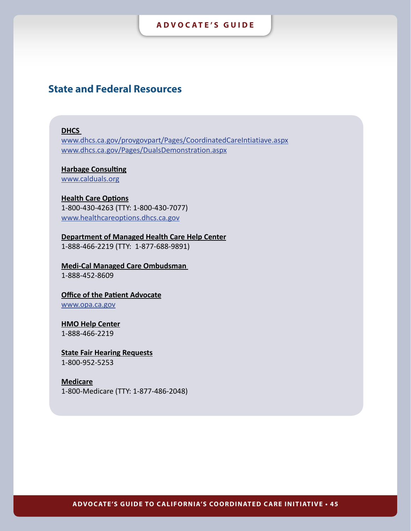### <span id="page-44-0"></span>**State and Federal Resources**

#### **DHCS**

[www.dhcs.ca.gov/provgovpart/Pages/CoordinatedCareIntiatiave.aspx](http://www.dhcs.ca.gov/provgovpart/Pages/CoordinatedCareIntiatiave.aspx) [www.dhcs.ca.gov/Pages/DualsDemonstration.aspx](http://www.dhcs.ca.gov/Pages/DualsDemonstration.aspx)

## **Harbage Consulting**

[www.calduals.org](http://www.calduals.org/)

### **Health Care Options**

1-800-430-4263 (TTY: 1-800-430-7077) <www.healthcareoptions.dhcs.ca.gov>

**Department of Managed Health Care Help Center** 1-888-466-2219 (TTY: 1-877-688-9891)

## **Medi-Cal Managed Care Ombudsman**

1-888-452-8609

### **Office of the Patient Advocate** [www.opa.ca.gov](http://www.opa.ca.gov/Pages/Home.aspx)

## **HMO Help Center**

1-888-466-2219

#### **State Fair Hearing Requests** 1-800-952-5253

### **Medicare**

1-800-Medicare (TTY: 1-877-486-2048)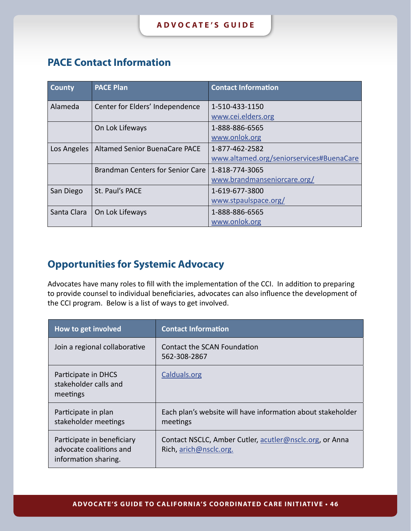## <span id="page-45-0"></span>**PACE Contact Information**

| <b>County</b> | <b>PACE Plan</b>                        | <b>Contact Information</b>               |
|---------------|-----------------------------------------|------------------------------------------|
| Alameda       | Center for Elders' Independence         | 1-510-433-1150                           |
|               |                                         | www.cei.elders.org                       |
|               | On Lok Lifeways                         | 1-888-886-6565                           |
|               |                                         | www.onlok.org                            |
| Los Angeles   | Altamed Senior BuenaCare PACE           | 1-877-462-2582                           |
|               |                                         | www.altamed.org/seniorservices#BuenaCare |
|               | <b>Brandman Centers for Senior Care</b> | 1-818-774-3065                           |
|               |                                         | www.brandmanseniorcare.org/              |
| San Diego     | St. Paul's PACE                         | 1-619-677-3800                           |
|               |                                         | www.stpaulspace.org/                     |
| Santa Clara   | On Lok Lifeways                         | 1-888-886-6565                           |
|               |                                         | www.onlok.org                            |

## **Opportunities for Systemic Advocacy**

Advocates have many roles to fill with the implementation of the CCI. In addition to preparing to provide counsel to individual beneficiaries, advocates can also influence the development of the CCI program. Below is a list of ways to get involved.

| How to get involved                                                           | <b>Contact Information</b>                                                        |
|-------------------------------------------------------------------------------|-----------------------------------------------------------------------------------|
| Join a regional collaborative                                                 | Contact the SCAN Foundation<br>562-308-2867                                       |
| Participate in DHCS<br>stakeholder calls and<br>meetings                      | Calduals.org                                                                      |
| Participate in plan<br>stakeholder meetings                                   | Each plan's website will have information about stakeholder<br>meetings           |
| Participate in beneficiary<br>advocate coalitions and<br>information sharing. | Contact NSCLC, Amber Cutler, acutler@nsclc.org, or Anna<br>Rich, arich@nsclc.org. |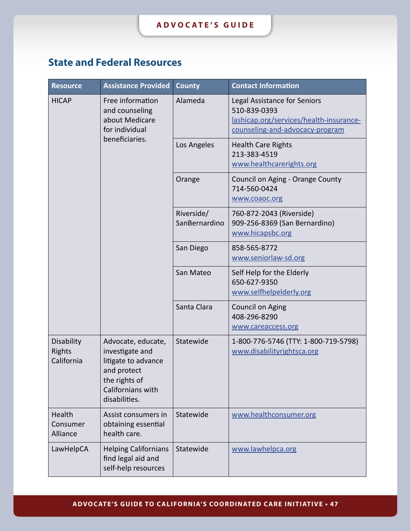## <span id="page-46-0"></span>**State and Federal Resources**

| <b>Resource</b>                           | <b>Assistance Provided</b>                                                                                                         | <b>County</b>               | <b>Contact Information</b>                                                                                                 |
|-------------------------------------------|------------------------------------------------------------------------------------------------------------------------------------|-----------------------------|----------------------------------------------------------------------------------------------------------------------------|
| <b>HICAP</b>                              | Free information<br>and counseling<br>about Medicare<br>for individual<br>beneficiaries.                                           | Alameda                     | Legal Assistance for Seniors<br>510-839-0393<br>lashicap.org/services/health-insurance-<br>counseling-and-advocacy-program |
|                                           |                                                                                                                                    | Los Angeles                 | <b>Health Care Rights</b><br>213-383-4519<br>www.healthcarerights.org                                                      |
|                                           |                                                                                                                                    | Orange                      | Council on Aging - Orange County<br>714-560-0424<br>www.coaoc.org                                                          |
|                                           |                                                                                                                                    | Riverside/<br>SanBernardino | 760-872-2043 (Riverside)<br>909-256-8369 (San Bernardino)<br>www.hicapsbc.org                                              |
|                                           |                                                                                                                                    | San Diego                   | 858-565-8772<br>www.seniorlaw-sd.org                                                                                       |
|                                           |                                                                                                                                    | San Mateo                   | Self Help for the Elderly<br>650-627-9350<br>www.selfhelpelderly.org                                                       |
|                                           |                                                                                                                                    | Santa Clara                 | Council on Aging<br>408-296-8290<br>www.careaccess.org                                                                     |
| Disability<br><b>Rights</b><br>California | Advocate, educate,<br>investigate and<br>litigate to advance<br>and protect<br>the rights of<br>Californians with<br>disabilities. | Statewide                   | 1-800-776-5746 (TTY: 1-800-719-5798)<br>www.disabilityrightsca.org                                                         |
| Health<br>Consumer<br>Alliance            | Assist consumers in<br>obtaining essential<br>health care.                                                                         | Statewide                   | www.healthconsumer.org                                                                                                     |
| LawHelpCA                                 | <b>Helping Californians</b><br>find legal aid and<br>self-help resources                                                           | Statewide                   | www.lawhelpca.org                                                                                                          |